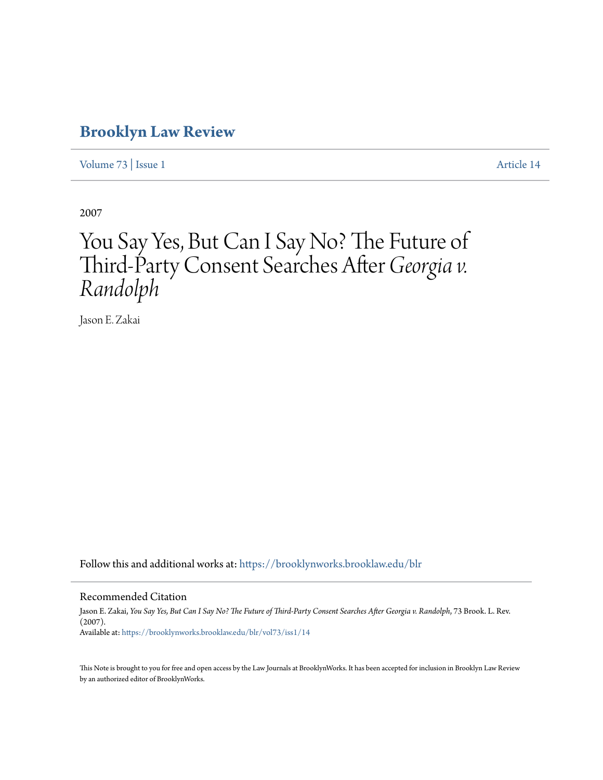# **[Brooklyn Law Review](https://brooklynworks.brooklaw.edu/blr?utm_source=brooklynworks.brooklaw.edu%2Fblr%2Fvol73%2Fiss1%2F14&utm_medium=PDF&utm_campaign=PDFCoverPages)**

[Volume 73](https://brooklynworks.brooklaw.edu/blr/vol73?utm_source=brooklynworks.brooklaw.edu%2Fblr%2Fvol73%2Fiss1%2F14&utm_medium=PDF&utm_campaign=PDFCoverPages) | [Issue 1](https://brooklynworks.brooklaw.edu/blr/vol73/iss1?utm_source=brooklynworks.brooklaw.edu%2Fblr%2Fvol73%2Fiss1%2F14&utm_medium=PDF&utm_campaign=PDFCoverPages) [Article 14](https://brooklynworks.brooklaw.edu/blr/vol73/iss1/14?utm_source=brooklynworks.brooklaw.edu%2Fblr%2Fvol73%2Fiss1%2F14&utm_medium=PDF&utm_campaign=PDFCoverPages)

2007

# You Say Yes, But Can I Say No? The Future of Third-Party Consent Searches After *Georgia v. Randolph*

Jason E. Zakai

Follow this and additional works at: [https://brooklynworks.brooklaw.edu/blr](https://brooklynworks.brooklaw.edu/blr?utm_source=brooklynworks.brooklaw.edu%2Fblr%2Fvol73%2Fiss1%2F14&utm_medium=PDF&utm_campaign=PDFCoverPages)

#### Recommended Citation

Jason E. Zakai, *You Say Yes, But Can I Say No? The Future of Third-Party Consent Searches After Georgia v. Randolph*, 73 Brook. L. Rev. (2007). Available at: [https://brooklynworks.brooklaw.edu/blr/vol73/iss1/14](https://brooklynworks.brooklaw.edu/blr/vol73/iss1/14?utm_source=brooklynworks.brooklaw.edu%2Fblr%2Fvol73%2Fiss1%2F14&utm_medium=PDF&utm_campaign=PDFCoverPages)

This Note is brought to you for free and open access by the Law Journals at BrooklynWorks. It has been accepted for inclusion in Brooklyn Law Review by an authorized editor of BrooklynWorks.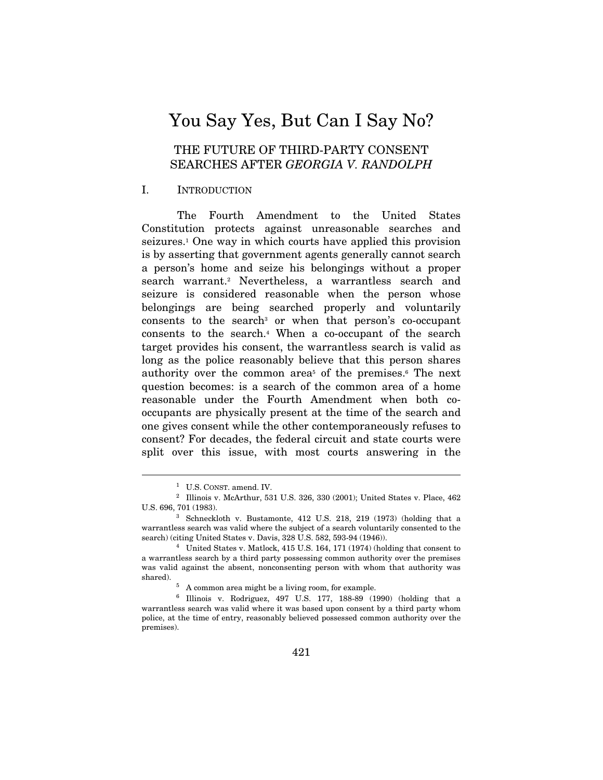# You Say Yes, But Can I Say No?

# THE FUTURE OF THIRD-PARTY CONSENT SEARCHES AFTER GEORGIA V. RANDOLPH

#### I. INTRODUCTION

The Fourth Amendment to the United States Constitution protects against unreasonable searches and seizures.1 One way in which courts have applied this provision is by asserting that government agents generally cannot search a person's home and seize his belongings without a proper search warrant.2 Nevertheless, a warrantless search and seizure is considered reasonable when the person whose belongings are being searched properly and voluntarily consents to the search<sup>3</sup> or when that person's co-occupant consents to the search.4 When a co-occupant of the search target provides his consent, the warrantless search is valid as long as the police reasonably believe that this person shares authority over the common area<sup>5</sup> of the premises.<sup>6</sup> The next question becomes: is a search of the common area of a home reasonable under the Fourth Amendment when both cooccupants are physically present at the time of the search and one gives consent while the other contemporaneously refuses to consent? For decades, the federal circuit and state courts were split over this issue, with most courts answering in the

 $^{\rm 1}~$  U.S. CONST. amend. IV.  $^{\rm 2}~$  Illinois v. McArthur, 531 U.S. 326, 330 (2001); United States v. Place, 462 U.S. 696, 701 (1983). 3 Schneckloth v. Bustamonte, 412 U.S. 218, 219 (1973) (holding that a

warrantless search was valid where the subject of a search voluntarily consented to the search) (citing United States v. Davis, 328 U.S. 582, 593-94 (1946)). 4 United States v. Matlock, 415 U.S. 164, 171 (1974) (holding that consent to

a warrantless search by a third party possessing common authority over the premises was valid against the absent, nonconsenting person with whom that authority was shared).  $$^{5}\,$  A common area might be a living room, for example.

 $6$  Illinois v. Rodriguez, 497 U.S. 177, 188-89 (1990) (holding that a warrantless search was valid where it was based upon consent by a third party whom police, at the time of entry, reasonably believed possessed common authority over the premises).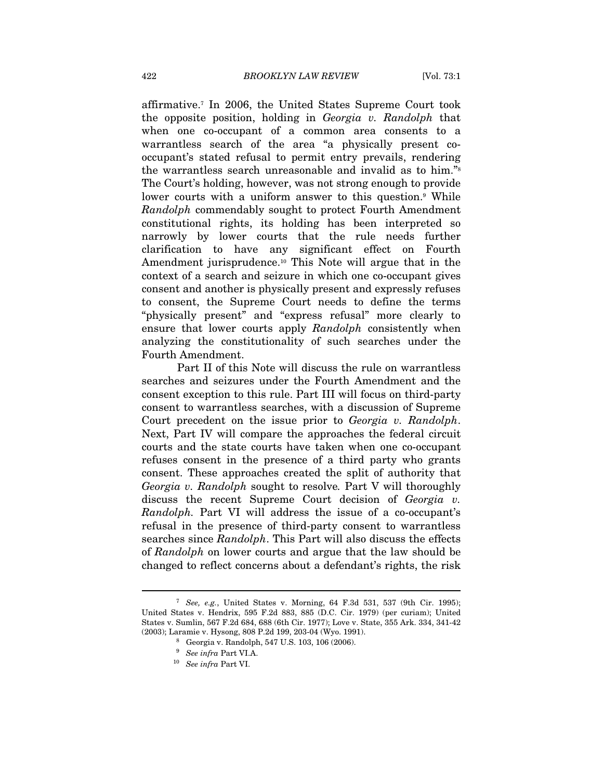affirmative.7 In 2006, the United States Supreme Court took the opposite position, holding in Georgia v. Randolph that when one co-occupant of a common area consents to a warrantless search of the area "a physically present cooccupant's stated refusal to permit entry prevails, rendering the warrantless search unreasonable and invalid as to him."8 The Court's holding, however, was not strong enough to provide lower courts with a uniform answer to this question.<sup>9</sup> While Randolph commendably sought to protect Fourth Amendment constitutional rights, its holding has been interpreted so narrowly by lower courts that the rule needs further clarification to have any significant effect on Fourth Amendment jurisprudence.10 This Note will argue that in the context of a search and seizure in which one co-occupant gives consent and another is physically present and expressly refuses to consent, the Supreme Court needs to define the terms "physically present" and "express refusal" more clearly to ensure that lower courts apply Randolph consistently when analyzing the constitutionality of such searches under the Fourth Amendment.

Part II of this Note will discuss the rule on warrantless searches and seizures under the Fourth Amendment and the consent exception to this rule. Part III will focus on third-party consent to warrantless searches, with a discussion of Supreme Court precedent on the issue prior to Georgia v. Randolph. Next, Part IV will compare the approaches the federal circuit courts and the state courts have taken when one co-occupant refuses consent in the presence of a third party who grants consent. These approaches created the split of authority that Georgia v. Randolph sought to resolve. Part V will thoroughly discuss the recent Supreme Court decision of Georgia v. Randolph. Part VI will address the issue of a co-occupant's refusal in the presence of third-party consent to warrantless searches since Randolph. This Part will also discuss the effects of Randolph on lower courts and argue that the law should be changed to reflect concerns about a defendant's rights, the risk

<sup>&</sup>lt;sup>7</sup> See, e.g., United States v. Morning, 64 F.3d 531, 537 (9th Cir. 1995); United States v. Hendrix, 595 F.2d 883, 885 (D.C. Cir. 1979) (per curiam); United States v. Sumlin, 567 F.2d 684, 688 (6th Cir. 1977); Love v. State, 355 Ark. 334, 341-42 (2003); Laramie v. Hysong, 808 P.2d 199, 203-04 (Wyo. 1991). 8 Georgia v. Randolph, 547 U.S. 103, 106 (2006).

<sup>&</sup>lt;sup>9</sup> See infra Part VI.A.<br><sup>10</sup> See infra Part VI.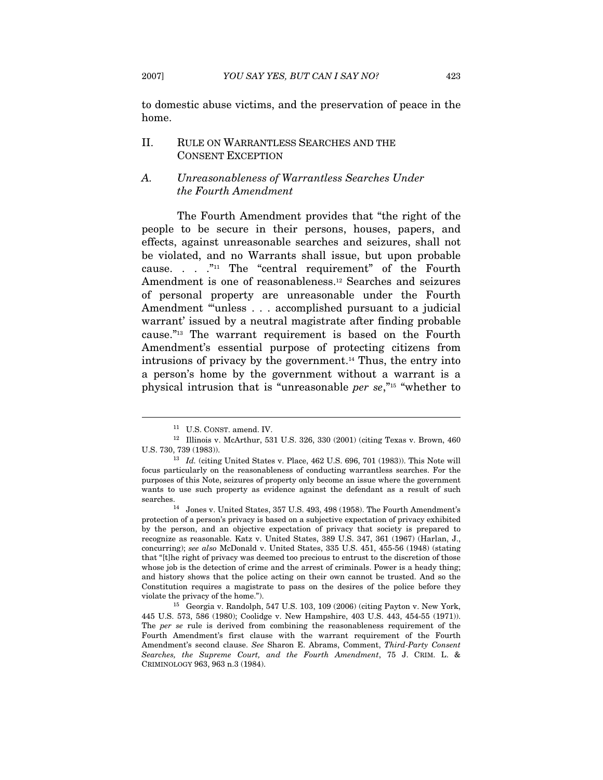to domestic abuse victims, and the preservation of peace in the home.

# II. RULE ON WARRANTLESS SEARCHES AND THE CONSENT EXCEPTION

# A. Unreasonableness of Warrantless Searches Under the Fourth Amendment

The Fourth Amendment provides that "the right of the people to be secure in their persons, houses, papers, and effects, against unreasonable searches and seizures, shall not be violated, and no Warrants shall issue, but upon probable cause. . . ."11 The "central requirement" of the Fourth Amendment is one of reasonableness.12 Searches and seizures of personal property are unreasonable under the Fourth Amendment "'unless . . . accomplished pursuant to a judicial warrant' issued by a neutral magistrate after finding probable cause."13 The warrant requirement is based on the Fourth Amendment's essential purpose of protecting citizens from intrusions of privacy by the government.14 Thus, the entry into a person's home by the government without a warrant is a physical intrusion that is "unreasonable per se,"15 "whether to

<sup>&</sup>lt;sup>11</sup> U.S. CONST. amend. IV.  $\frac{12}$  Illinois v. McArthur, 531 U.S. 326, 330 (2001) (citing Texas v. Brown, 460 U.S. 730, 739 (1983)). 13 Id. (citing United States v. Place, 462 U.S. 696, 701 (1983)). This Note will

focus particularly on the reasonableness of conducting warrantless searches. For the purposes of this Note, seizures of property only become an issue where the government wants to use such property as evidence against the defendant as a result of such searches. 14 Jones v. United States, 357 U.S. 493, 498 (1958). The Fourth Amendment's

protection of a person's privacy is based on a subjective expectation of privacy exhibited by the person, and an objective expectation of privacy that society is prepared to recognize as reasonable. Katz v. United States, 389 U.S. 347, 361 (1967) (Harlan, J., concurring); see also McDonald v. United States, 335 U.S. 451, 455-56 (1948) (stating that "[t]he right of privacy was deemed too precious to entrust to the discretion of those whose job is the detection of crime and the arrest of criminals. Power is a heady thing; and history shows that the police acting on their own cannot be trusted. And so the Constitution requires a magistrate to pass on the desires of the police before they violate the privacy of the home.").

<sup>15</sup> Georgia v. Randolph, 547 U.S. 103, 109 (2006) (citing Payton v. New York, 445 U.S. 573, 586 (1980); Coolidge v. New Hampshire, 403 U.S. 443, 454-55 (1971)). The per se rule is derived from combining the reasonableness requirement of the Fourth Amendment's first clause with the warrant requirement of the Fourth Amendment's second clause. See Sharon E. Abrams, Comment, Third-Party Consent Searches, the Supreme Court, and the Fourth Amendment, 75 J. CRIM. L. & CRIMINOLOGY 963, 963 n.3 (1984).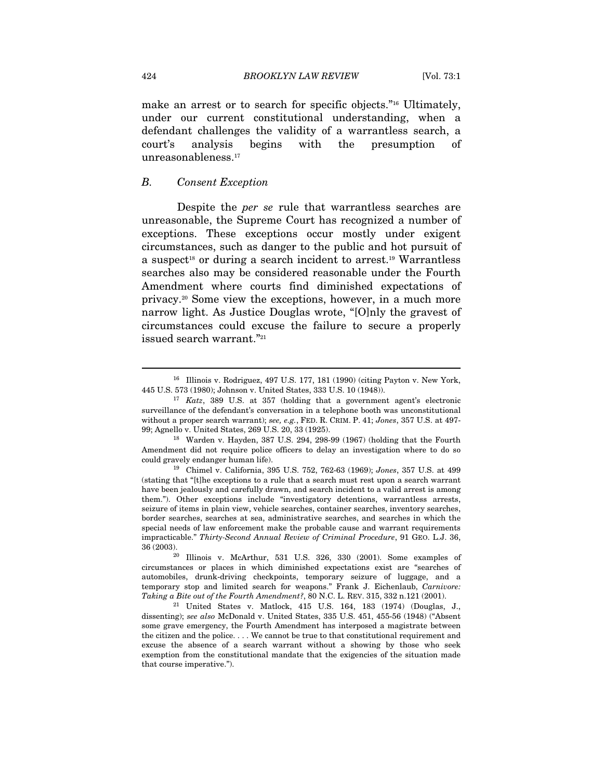make an arrest or to search for specific objects."16 Ultimately, under our current constitutional understanding, when a defendant challenges the validity of a warrantless search, a court's analysis begins with the presumption of unreasonableness.17

#### B. Consent Exception

Despite the per se rule that warrantless searches are unreasonable, the Supreme Court has recognized a number of exceptions. These exceptions occur mostly under exigent circumstances, such as danger to the public and hot pursuit of a suspect<sup>18</sup> or during a search incident to arrest.<sup>19</sup> Warrantless searches also may be considered reasonable under the Fourth Amendment where courts find diminished expectations of privacy.20 Some view the exceptions, however, in a much more narrow light. As Justice Douglas wrote, "[O]nly the gravest of circumstances could excuse the failure to secure a properly issued search warrant."<sup>21</sup>

Amendment did not require police officers to delay an investigation where to do so could gravely endanger human life).

<sup>&</sup>lt;sup>16</sup> Illinois v. Rodriguez, 497 U.S. 177, 181 (1990) (citing Payton v. New York, 445 U.S. 573 (1980); Johnson v. United States, 333 U.S. 10 (1948)).

 $17$  Katz, 389 U.S. at 357 (holding that a government agent's electronic surveillance of the defendant's conversation in a telephone booth was unconstitutional without a proper search warrant); see, e.g., FED. R. CRIM. P. 41; Jones, 357 U.S. at 497-99; Agnello v. United States, 269 U.S. 20, 33 (1925). 18 Warden v. Hayden, 387 U.S. 294, 298-99 (1967) (holding that the Fourth

<sup>19</sup> Chimel v. California, 395 U.S. 752, 762-63 (1969); Jones, 357 U.S. at 499 (stating that "[t]he exceptions to a rule that a search must rest upon a search warrant have been jealously and carefully drawn, and search incident to a valid arrest is among them."). Other exceptions include "investigatory detentions, warrantless arrests, seizure of items in plain view, vehicle searches, container searches, inventory searches, border searches, searches at sea, administrative searches, and searches in which the special needs of law enforcement make the probable cause and warrant requirements impracticable." Thirty-Second Annual Review of Criminal Procedure, 91 GEO. L.J. 36,

 $20$  Illinois v. McArthur, 531 U.S. 326, 330 (2001). Some examples of circumstances or places in which diminished expectations exist are "searches of automobiles, drunk-driving checkpoints, temporary seizure of luggage, and a temporary stop and limited search for weapons." Frank J. Eichenlaub, Carnivore: Taking a Bite out of the Fourth Amendment?, 80 N.C. L. REV. 315, 332 n.121 (2001).

 $21$  United States v. Matlock, 415 U.S. 164, 183 (1974) (Douglas, J., dissenting); see also McDonald v. United States, 335 U.S. 451, 455-56 (1948) ("Absent some grave emergency, the Fourth Amendment has interposed a magistrate between the citizen and the police. . . . We cannot be true to that constitutional requirement and excuse the absence of a search warrant without a showing by those who seek exemption from the constitutional mandate that the exigencies of the situation made that course imperative.").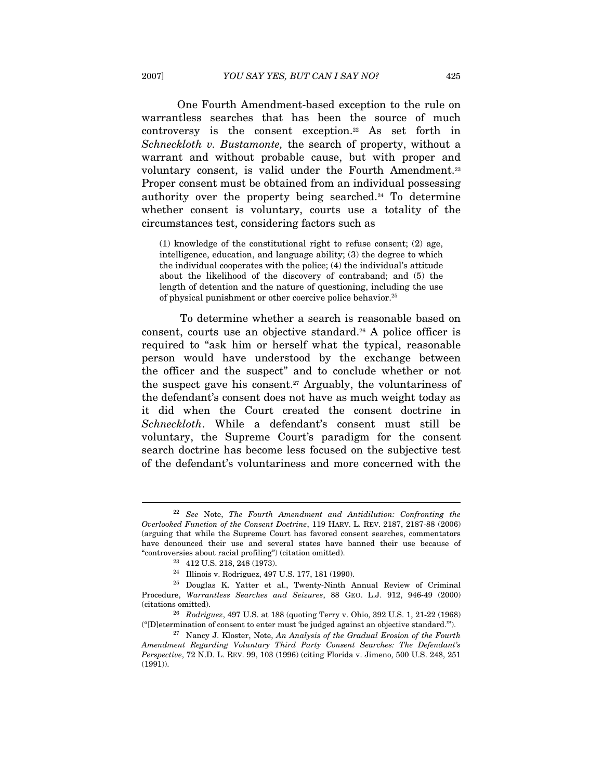One Fourth Amendment-based exception to the rule on warrantless searches that has been the source of much controversy is the consent exception.22 As set forth in Schneckloth v. Bustamonte, the search of property, without a warrant and without probable cause, but with proper and voluntary consent, is valid under the Fourth Amendment.<sup>23</sup> Proper consent must be obtained from an individual possessing authority over the property being searched.24 To determine whether consent is voluntary, courts use a totality of the circumstances test, considering factors such as

(1) knowledge of the constitutional right to refuse consent; (2) age, intelligence, education, and language ability; (3) the degree to which the individual cooperates with the police; (4) the individual's attitude about the likelihood of the discovery of contraband; and (5) the length of detention and the nature of questioning, including the use of physical punishment or other coercive police behavior.25

 To determine whether a search is reasonable based on consent, courts use an objective standard.26 A police officer is required to "ask him or herself what the typical, reasonable person would have understood by the exchange between the officer and the suspect" and to conclude whether or not the suspect gave his consent.<sup>27</sup> Arguably, the voluntariness of the defendant's consent does not have as much weight today as it did when the Court created the consent doctrine in Schneckloth. While a defendant's consent must still be voluntary, the Supreme Court's paradigm for the consent search doctrine has become less focused on the subjective test of the defendant's voluntariness and more concerned with the

 $22$  See Note, The Fourth Amendment and Antidilution: Confronting the Overlooked Function of the Consent Doctrine, 119 HARV. L. REV. 2187, 2187-88 (2006) (arguing that while the Supreme Court has favored consent searches, commentators have denounced their use and several states have banned their use because of "controversies about racial profiling") (citation omitted).  $^{23}$  412 U.S. 218, 248 (1973).

<sup>24</sup> Illinois v. Rodriguez, 497 U.S. 177, 181 (1990).

<sup>25</sup> Douglas K. Yatter et al., Twenty-Ninth Annual Review of Criminal Procedure, Warrantless Searches and Seizures, 88 GEO. L.J. 912, 946-49 (2000)

<sup>(</sup>citations omitted). 26 Rodriguez, 497 U.S. at 188 (quoting Terry v. Ohio, 392 U.S. 1, 21-22 (1968) ("[D]etermination of consent to enter must 'be judged against an objective standard.").<br><sup>27</sup> Nancy J. Kloster, Note, An Analysis of the Gradual Erosion of the Fourth

Amendment Regarding Voluntary Third Party Consent Searches: The Defendant's Perspective, 72 N.D. L. REV. 99, 103 (1996) (citing Florida v. Jimeno, 500 U.S. 248, 251  $(1991)$ ).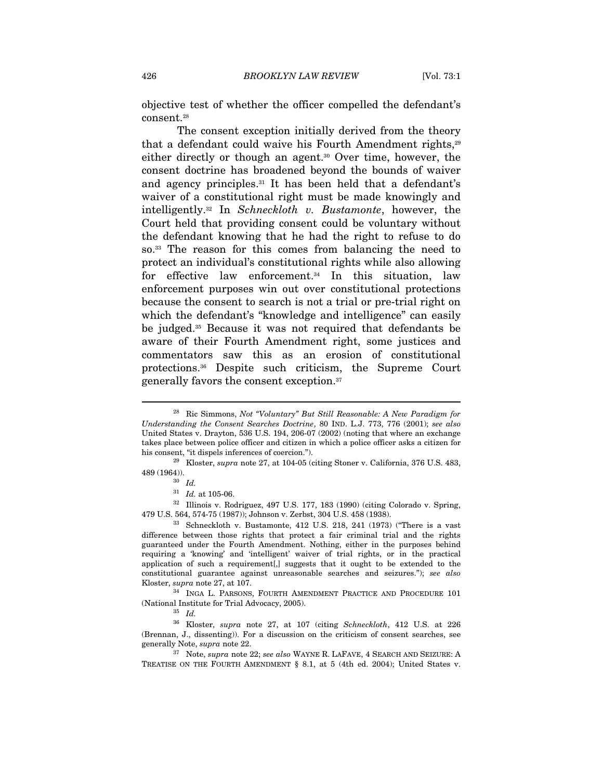objective test of whether the officer compelled the defendant's consent.28

The consent exception initially derived from the theory that a defendant could waive his Fourth Amendment rights,<sup>29</sup> either directly or though an agent.30 Over time, however, the consent doctrine has broadened beyond the bounds of waiver and agency principles.31 It has been held that a defendant's waiver of a constitutional right must be made knowingly and intelligently.32 In Schneckloth v. Bustamonte, however, the Court held that providing consent could be voluntary without the defendant knowing that he had the right to refuse to do so.33 The reason for this comes from balancing the need to protect an individual's constitutional rights while also allowing for effective law enforcement.<sup>34</sup> In this situation, law enforcement purposes win out over constitutional protections because the consent to search is not a trial or pre-trial right on which the defendant's "knowledge and intelligence" can easily be judged.35 Because it was not required that defendants be aware of their Fourth Amendment right, some justices and commentators saw this as an erosion of constitutional protections.36 Despite such criticism, the Supreme Court generally favors the consent exception.37

<sup>&</sup>lt;sup>28</sup> Ric Simmons, Not "Voluntary" But Still Reasonable: A New Paradigm for Understanding the Consent Searches Doctrine, 80 IND. L.J. 773, 776 (2001); see also United States v. Drayton, 536 U.S. 194, 206-07 (2002) (noting that where an exchange takes place between police officer and citizen in which a police officer asks a citizen for his consent, "it dispels inferences of coercion.").<br><sup>29</sup> Kloster, *supra* note 27, at 104-05 (citing Stoner v. California, 376 U.S. 483,

 $\stackrel{489\,(1964).}{\scriptstyle{30}}\, \stackrel{30\,}{\phantom{1}l d.}$ 

 $31$  Id. at 105-06.<br> $32$  Illinois v. Rodriguez, 497 U.S. 177, 183 (1990) (citing Colorado v. Spring, 479 U.S. 564, 574-75 (1987)); Johnson v. Zerbst, 304 U.S. 458 (1938). 33 Schneckloth v. Bustamonte, 412 U.S. 218, 241 (1973) ("There is a vast

difference between those rights that protect a fair criminal trial and the rights guaranteed under the Fourth Amendment. Nothing, either in the purposes behind requiring a 'knowing' and 'intelligent' waiver of trial rights, or in the practical application of such a requirement[,] suggests that it ought to be extended to the constitutional guarantee against unreasonable searches and seizures."); see also Kloster, *supra* note 27, at 107.<br><sup>34</sup> INGA L. PARSONS, FOURTH AMENDMENT PRACTICE AND PROCEDURE 101

<sup>(</sup>National Institute for Trial Advocacy, 2005).<br> $\frac{35}{1}$  Id.

<sup>36</sup> Kloster, supra note 27, at 107 (citing Schneckloth, 412 U.S. at 226 (Brennan, J., dissenting)). For a discussion on the criticism of consent searches, see

<sup>%</sup> generally Note,  $supra$  note 22.  $$^{37}\,$  Note,  $supra$  note 22;  $see$   $also$  WAYNE R. LAFAVE, 4 SEARCH AND SEIZURE: A TREATISE ON THE FOURTH AMENDMENT § 8.1, at 5 (4th ed. 2004); United States v.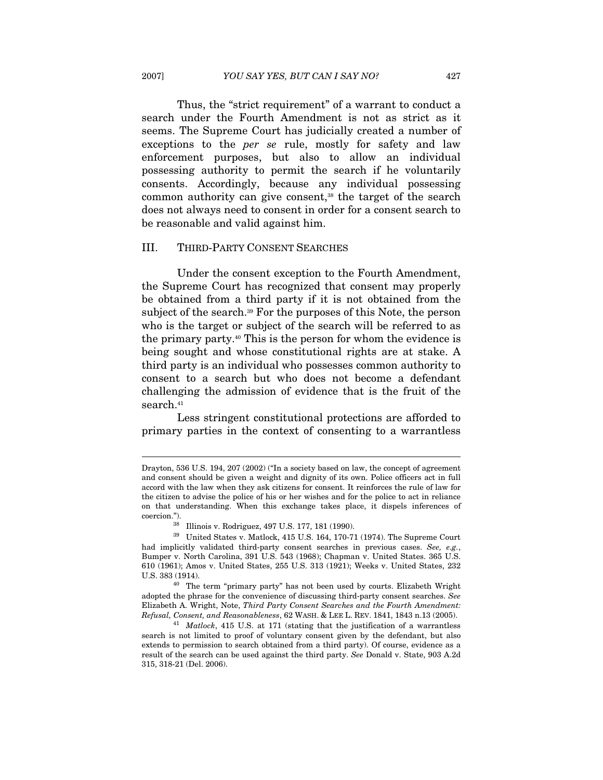Thus, the "strict requirement" of a warrant to conduct a search under the Fourth Amendment is not as strict as it seems. The Supreme Court has judicially created a number of exceptions to the per se rule, mostly for safety and law enforcement purposes, but also to allow an individual possessing authority to permit the search if he voluntarily consents. Accordingly, because any individual possessing common authority can give consent,38 the target of the search does not always need to consent in order for a consent search to be reasonable and valid against him.

#### III. THIRD-PARTY CONSENT SEARCHES

Under the consent exception to the Fourth Amendment, the Supreme Court has recognized that consent may properly be obtained from a third party if it is not obtained from the subject of the search.<sup>39</sup> For the purposes of this Note, the person who is the target or subject of the search will be referred to as the primary party.40 This is the person for whom the evidence is being sought and whose constitutional rights are at stake. A third party is an individual who possesses common authority to consent to a search but who does not become a defendant challenging the admission of evidence that is the fruit of the search.<sup>41</sup>

Less stringent constitutional protections are afforded to primary parties in the context of consenting to a warrantless

Drayton, 536 U.S. 194, 207 (2002) ("In a society based on law, the concept of agreement and consent should be given a weight and dignity of its own. Police officers act in full accord with the law when they ask citizens for consent. It reinforces the rule of law for the citizen to advise the police of his or her wishes and for the police to act in reliance on that understanding. When this exchange takes place, it dispels inferences of coercion."). 38 Illinois v. Rodriguez, 497 U.S. 177, 181 (1990).

 $^{39}\;$  United States v. Matlock, 415 U.S. 164, 170-71 (1974). The Supreme Court had implicitly validated third-party consent searches in previous cases. See, e.g., Bumper v. North Carolina, 391 U.S. 543 (1968); Chapman v. United States. 365 U.S. 610 (1961); Amos v. United States, 255 U.S. 313 (1921); Weeks v. United States, 232 U.S. 383 (1914). 40 The term "primary party" has not been used by courts. Elizabeth Wright

adopted the phrase for the convenience of discussing third-party consent searches. See Elizabeth A. Wright, Note, Third Party Consent Searches and the Fourth Amendment: Refusal, Consent, and Reasonableness, 62 WASH. & LEE L. REV. 1841, 1843 n.13 (2005). 41 Matlock, 415 U.S. at 171 (stating that the justification of a warrantless

search is not limited to proof of voluntary consent given by the defendant, but also extends to permission to search obtained from a third party). Of course, evidence as a result of the search can be used against the third party. See Donald v. State, 903 A.2d 315, 318-21 (Del. 2006).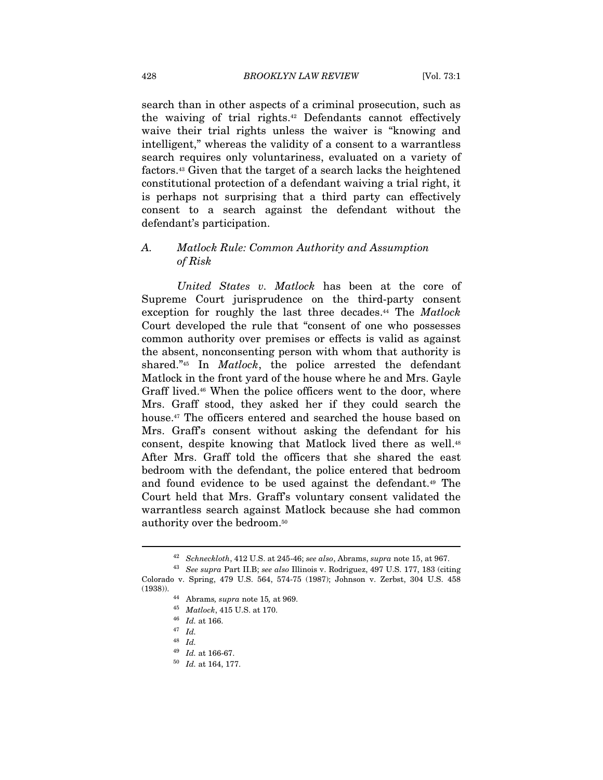search than in other aspects of a criminal prosecution, such as the waiving of trial rights.42 Defendants cannot effectively waive their trial rights unless the waiver is "knowing and intelligent," whereas the validity of a consent to a warrantless search requires only voluntariness, evaluated on a variety of factors.43 Given that the target of a search lacks the heightened constitutional protection of a defendant waiving a trial right, it is perhaps not surprising that a third party can effectively consent to a search against the defendant without the defendant's participation.

# A. Matlock Rule: Common Authority and Assumption of Risk

United States v. Matlock has been at the core of Supreme Court jurisprudence on the third-party consent exception for roughly the last three decades.<sup>44</sup> The *Matlock* Court developed the rule that "consent of one who possesses common authority over premises or effects is valid as against the absent, nonconsenting person with whom that authority is shared."<sup>45</sup> In *Matlock*, the police arrested the defendant Matlock in the front yard of the house where he and Mrs. Gayle Graff lived.<sup>46</sup> When the police officers went to the door, where Mrs. Graff stood, they asked her if they could search the house.<sup>47</sup> The officers entered and searched the house based on Mrs. Graff's consent without asking the defendant for his consent, despite knowing that Matlock lived there as well.48 After Mrs. Graff told the officers that she shared the east bedroom with the defendant, the police entered that bedroom and found evidence to be used against the defendant.49 The Court held that Mrs. Graff's voluntary consent validated the warrantless search against Matlock because she had common authority over the bedroom.50

<sup>&</sup>lt;sup>42</sup> Schneckloth, 412 U.S. at 245-46; see also, Abrams, supra note 15, at 967.<br><sup>43</sup> See supra Part II.B; see also Illinois v. Rodriguez, 497 U.S. 177, 183 (citing

Colorado v. Spring, 479 U.S. 564, 574-75 (1987); Johnson v. Zerbst, 304 U.S. 458 (1938)).

<sup>44</sup> Abrams, *supra* note 15, at 969.<br>
45 *Matlock*, 415 U.S. at 170.<br>
46 *Id.* at 166.<br>
47 *Id.* 

<sup>48</sup> Id.

<sup>&</sup>lt;sup>49</sup> Id. at 166-67.<br><sup>50</sup> Id. at 164, 177.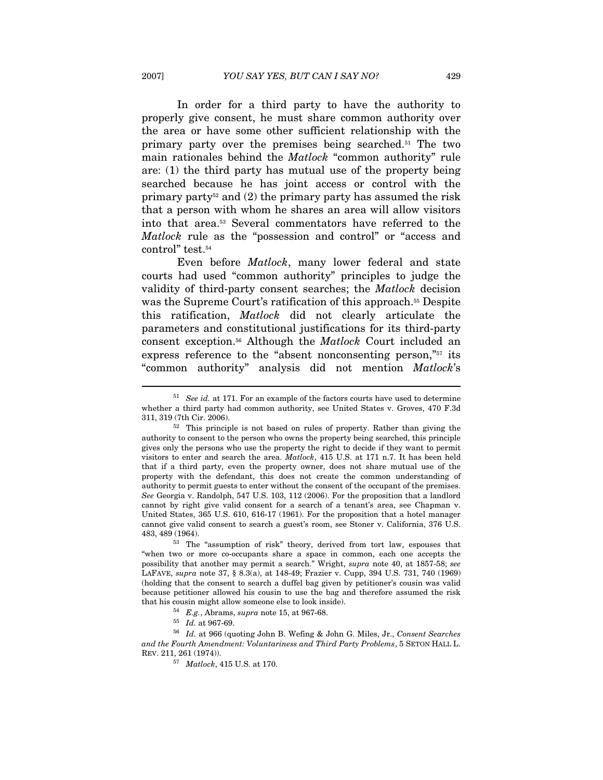In order for a third party to have the authority to properly give consent, he must share common authority over the area or have some other sufficient relationship with the primary party over the premises being searched.51 The two main rationales behind the Matlock "common authority" rule are: (1) the third party has mutual use of the property being searched because he has joint access or control with the primary party<sup>52</sup> and  $(2)$  the primary party has assumed the risk that a person with whom he shares an area will allow visitors into that area.53 Several commentators have referred to the Matlock rule as the "possession and control" or "access and control" test.<sup>54</sup>

Even before Matlock, many lower federal and state courts had used "common authority" principles to judge the validity of third-party consent searches; the Matlock decision was the Supreme Court's ratification of this approach.<sup>55</sup> Despite this ratification, Matlock did not clearly articulate the parameters and constitutional justifications for its third-party consent exception.56 Although the Matlock Court included an express reference to the "absent nonconsenting person,"<sup>57</sup> its "common authority" analysis did not mention Matlock's

"when two or more co-occupants share a space in common, each one accepts the possibility that another may permit a search." Wright, supra note 40, at 1857-58; see LAFAVE, supra note 37, § 8.3(a), at 148-49; Frazier v. Cupp, 394 U.S. 731, 740 (1969) (holding that the consent to search a duffel bag given by petitioner's cousin was valid because petitioner allowed his cousin to use the bag and therefore assumed the risk that his cousin might allow someone else to look inside).<br>  $5^4$  E.g., Abrams, supra note 15, at 967-68.<br>  $5^5$  Id. at 967-69.

 $51$  See id. at 171. For an example of the factors courts have used to determine whether a third party had common authority, see United States v. Groves, 470 F.3d

<sup>311, 319 (7</sup>th Cir. 2006). 52 This principle is not based on rules of property. Rather than giving the authority to consent to the person who owns the property being searched, this principle gives only the persons who use the property the right to decide if they want to permit visitors to enter and search the area. Matlock, 415 U.S. at 171 n.7. It has been held that if a third party, even the property owner, does not share mutual use of the property with the defendant, this does not create the common understanding of authority to permit guests to enter without the consent of the occupant of the premises. See Georgia v. Randolph, 547 U.S. 103, 112 (2006). For the proposition that a landlord cannot by right give valid consent for a search of a tenant's area, see Chapman v. United States, 365 U.S. 610, 616-17 (1961). For the proposition that a hotel manager cannot give valid consent to search a guest's room, see Stoner v. California, 376 U.S. 483, 489 (1964). 53 The "assumption of risk" theory, derived from tort law, espouses that

 $^{56}$  Id. at 966 (quoting John B. Wefing & John G. Miles, Jr., Consent Searches and the Fourth Amendment: Voluntariness and Third Party Problems, 5 SETON HALL L. REV. 211, 261 (1974)). 57 Matlock, 415 U.S. at 170.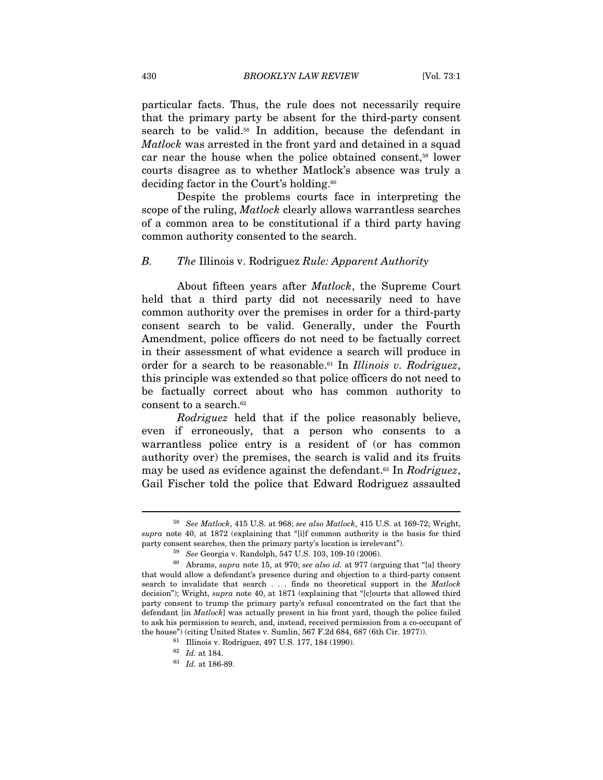particular facts. Thus, the rule does not necessarily require that the primary party be absent for the third-party consent search to be valid.<sup>58</sup> In addition, because the defendant in Matlock was arrested in the front yard and detained in a squad car near the house when the police obtained consent,59 lower courts disagree as to whether Matlock's absence was truly a deciding factor in the Court's holding.<sup>60</sup>

Despite the problems courts face in interpreting the scope of the ruling, *Matlock* clearly allows warrantless searches of a common area to be constitutional if a third party having common authority consented to the search.

#### B. The Illinois v. Rodriguez Rule: Apparent Authority

About fifteen years after Matlock, the Supreme Court held that a third party did not necessarily need to have common authority over the premises in order for a third-party consent search to be valid. Generally, under the Fourth Amendment, police officers do not need to be factually correct in their assessment of what evidence a search will produce in order for a search to be reasonable.<sup>61</sup> In *Illinois v. Rodriguez*, this principle was extended so that police officers do not need to be factually correct about who has common authority to consent to a search.<sup>62</sup>

Rodriguez held that if the police reasonably believe, even if erroneously, that a person who consents to a warrantless police entry is a resident of (or has common authority over) the premises, the search is valid and its fruits may be used as evidence against the defendant.<sup>63</sup> In Rodriguez, Gail Fischer told the police that Edward Rodriguez assaulted

<sup>58</sup> See Matlock, 415 U.S. at 968; see also Matlock, 415 U.S. at 169-72; Wright, supra note 40, at 1872 (explaining that "[i]f common authority is the basis for third party consent searches, then the primary party's location is irrelevant").<br><sup>59</sup> See Georgia v. Randolph, 547 U.S. 103, 109-10 (2006).<br><sup>60</sup> Abrams, *supra* note 15, at 970; *see also id.* at 977 (arguing that "[a] theory

that would allow a defendant's presence during and objection to a third-party consent search to invalidate that search . . . finds no theoretical support in the Matlock decision"); Wright, *supra* note 40, at 1871 (explaining that "[c]ourts that allowed third party consent to trump the primary party's refusal concentrated on the fact that the defendant [in Matlock] was actually present in his front yard, though the police failed to ask his permission to search, and, instead, received permission from a co-occupant of the house") (citing United States v. Sumlin, 567 F.2d 684, 687 (6th Cir. 1977)).<br><sup>61</sup> Illinois v. Rodriguez, 497 U.S. 177, 184 (1990).

 $\frac{62}{63}$  *Id.* at 184.<br> $\frac{63}{64}$  *Id.* at 186-89.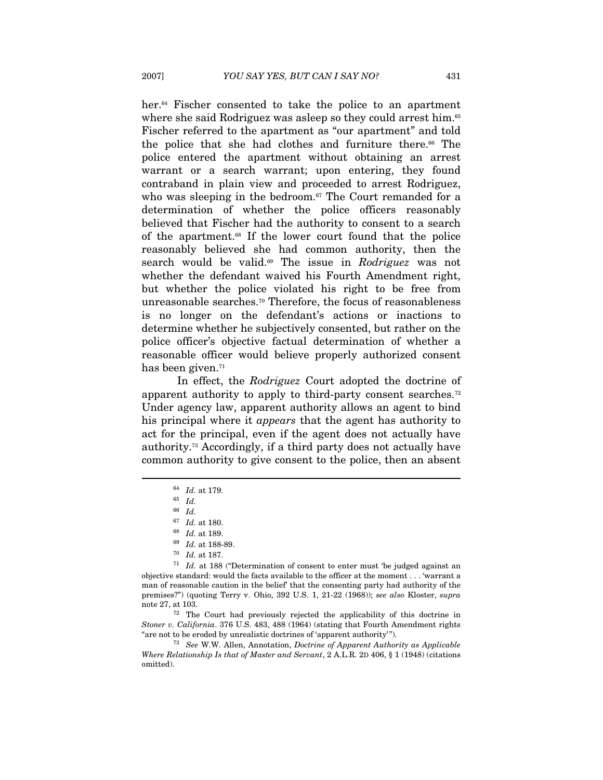her.<sup>64</sup> Fischer consented to take the police to an apartment where she said Rodriguez was asleep so they could arrest him.<sup>65</sup> Fischer referred to the apartment as "our apartment" and told the police that she had clothes and furniture there.<sup>66</sup> The police entered the apartment without obtaining an arrest warrant or a search warrant; upon entering, they found contraband in plain view and proceeded to arrest Rodriguez, who was sleeping in the bedroom.<sup>67</sup> The Court remanded for a determination of whether the police officers reasonably believed that Fischer had the authority to consent to a search of the apartment.68 If the lower court found that the police reasonably believed she had common authority, then the search would be valid.69 The issue in Rodriguez was not whether the defendant waived his Fourth Amendment right, but whether the police violated his right to be free from unreasonable searches.<sup>70</sup> Therefore, the focus of reasonableness is no longer on the defendant's actions or inactions to determine whether he subjectively consented, but rather on the police officer's objective factual determination of whether a reasonable officer would believe properly authorized consent has been given.<sup>71</sup>

In effect, the Rodriguez Court adopted the doctrine of apparent authority to apply to third-party consent searches.72 Under agency law, apparent authority allows an agent to bind his principal where it *appears* that the agent has authority to act for the principal, even if the agent does not actually have authority.73 Accordingly, if a third party does not actually have common authority to give consent to the police, then an absent

 $\overline{a}$ 

Stoner v. California. 376 U.S. 483, 488 (1964) (stating that Fourth Amendment rights "are not to be eroded by unrealistic doctrines of 'apparent authority'").<br><sup>73</sup> See W.W. Allen, Annotation, *Doctrine of Apparent Authority as Applicable* 

Where Relationship Is that of Master and Servant, 2 A.L.R. 2D 406, § 1 (1948) (citations omitted).

 $\begin{array}{cc} 64 & Id. \ 65 & Id. \end{array}$ 

 $^{66} \;$   $Id.$ 

 $67$  Id. at 180.<br>  $68$  Id. at 189.<br>  $69$  Id. at 188-89.<br>  $70$  Id. at 187.

 $71$  Id. at 188 ("Determination of consent to enter must 'be judged against an objective standard: would the facts available to the officer at the moment . . . 'warrant a man of reasonable caution in the belief' that the consenting party had authority of the premises?") (quoting Terry v. Ohio, 392 U.S. 1, 21-22 (1968)); see also Kloster, supra note 27, at 103. 72 The Court had previously rejected the applicability of this doctrine in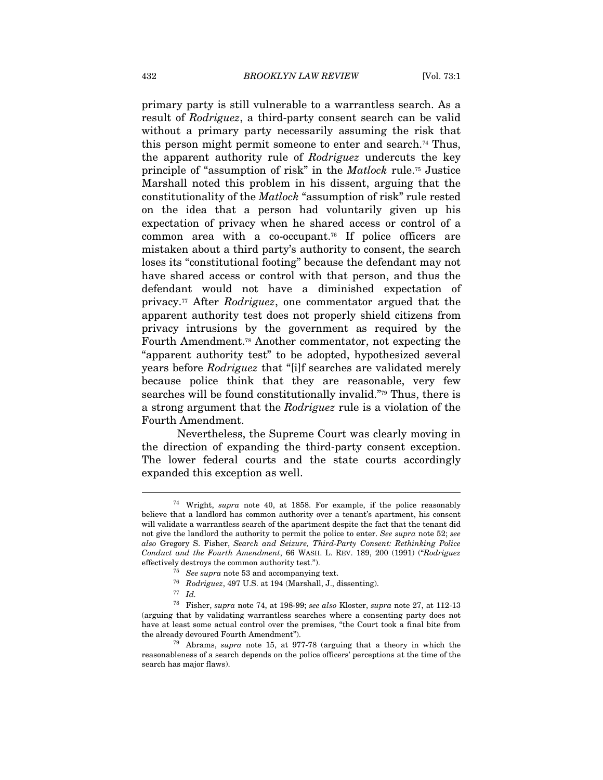primary party is still vulnerable to a warrantless search. As a result of Rodriguez, a third-party consent search can be valid without a primary party necessarily assuming the risk that this person might permit someone to enter and search.74 Thus, the apparent authority rule of Rodriguez undercuts the key principle of "assumption of risk" in the Matlock rule.75 Justice Marshall noted this problem in his dissent, arguing that the constitutionality of the Matlock "assumption of risk" rule rested on the idea that a person had voluntarily given up his expectation of privacy when he shared access or control of a common area with a co-occupant.<sup>76</sup> If police officers are mistaken about a third party's authority to consent, the search loses its "constitutional footing" because the defendant may not have shared access or control with that person, and thus the defendant would not have a diminished expectation of privacy.77 After Rodriguez, one commentator argued that the apparent authority test does not properly shield citizens from privacy intrusions by the government as required by the Fourth Amendment.78 Another commentator, not expecting the "apparent authority test" to be adopted, hypothesized several years before Rodriguez that "[i]f searches are validated merely because police think that they are reasonable, very few searches will be found constitutionally invalid."79 Thus, there is a strong argument that the Rodriguez rule is a violation of the Fourth Amendment.

Nevertheless, the Supreme Court was clearly moving in the direction of expanding the third-party consent exception. The lower federal courts and the state courts accordingly expanded this exception as well.

<sup>74</sup> Wright, supra note 40, at 1858. For example, if the police reasonably believe that a landlord has common authority over a tenant's apartment, his consent will validate a warrantless search of the apartment despite the fact that the tenant did not give the landlord the authority to permit the police to enter. See supra note 52; see also Gregory S. Fisher, Search and Seizure, Third-Party Consent: Rethinking Police Conduct and the Fourth Amendment, 66 WASH. L. REV. 189, 200 (1991) ("Rodriguez % effectively destroys the common authority test.").<br>
<sup>75</sup> See supra note 53 and accompanying text.<br>
<sup>76</sup> Rodriguez, 497 U.S. at 194 (Marshall, J., dissenting).<br>
<sup>77</sup> Id.<br>
<sup>78</sup> Fisher, *supra* note 74, at 198-99; *see als* 

<sup>(</sup>arguing that by validating warrantless searches where a consenting party does not have at least some actual control over the premises, "the Court took a final bite from the already devoured Fourth Amendment").<br><sup>79</sup> Abrams, *supra* note 15, at 977-78 (arguing that a theory in which the

reasonableness of a search depends on the police officers' perceptions at the time of the search has major flaws).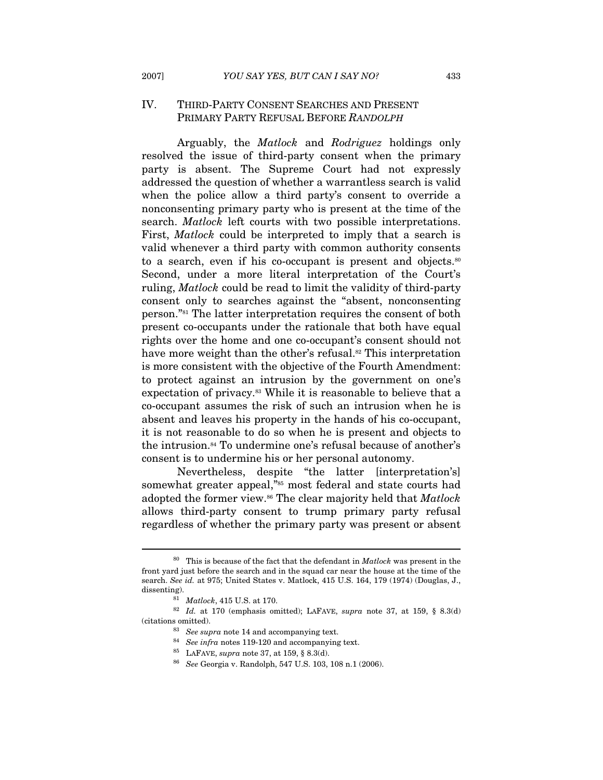## IV. THIRD-PARTY CONSENT SEARCHES AND PRESENT PRIMARY PARTY REFUSAL BEFORE RANDOLPH

Arguably, the Matlock and Rodriguez holdings only resolved the issue of third-party consent when the primary party is absent. The Supreme Court had not expressly addressed the question of whether a warrantless search is valid when the police allow a third party's consent to override a nonconsenting primary party who is present at the time of the search. *Matlock* left courts with two possible interpretations. First, *Matlock* could be interpreted to imply that a search is valid whenever a third party with common authority consents to a search, even if his co-occupant is present and objects.<sup>80</sup> Second, under a more literal interpretation of the Court's ruling, Matlock could be read to limit the validity of third-party consent only to searches against the "absent, nonconsenting person."81 The latter interpretation requires the consent of both present co-occupants under the rationale that both have equal rights over the home and one co-occupant's consent should not have more weight than the other's refusal.<sup>82</sup> This interpretation is more consistent with the objective of the Fourth Amendment: to protect against an intrusion by the government on one's expectation of privacy.83 While it is reasonable to believe that a co-occupant assumes the risk of such an intrusion when he is absent and leaves his property in the hands of his co-occupant, it is not reasonable to do so when he is present and objects to the intrusion.84 To undermine one's refusal because of another's consent is to undermine his or her personal autonomy.

Nevertheless, despite "the latter [interpretation's] somewhat greater appeal,"<sup>85</sup> most federal and state courts had adopted the former view.<sup>86</sup> The clear majority held that Matlock allows third-party consent to trump primary party refusal regardless of whether the primary party was present or absent

 $80$  This is because of the fact that the defendant in *Matlock* was present in the front yard just before the search and in the squad car near the house at the time of the search. See id. at 975; United States v. Matlock, 415 U.S. 164, 179 (1974) (Douglas, J., dissenting). 81 Matlock, 415 U.S. at 170.<br>82 Id. at 170 (emphasis omitted); LAFAVE, *supra* note 37, at 159, § 8.3(d)

<sup>%) (</sup>citations omitted).<br> $\frac{83}{2}$  See supra note 14 and accompanying text.

<sup>%</sup> See infra notes 119-120 and accompanying text.<br>  $^{85}$  LAFAVE, supra note 37, at 159, § 8.3(d).<br>  $^{86}$  See Georgia v. Randolph, 547 U.S. 103, 108 n.1 (2006).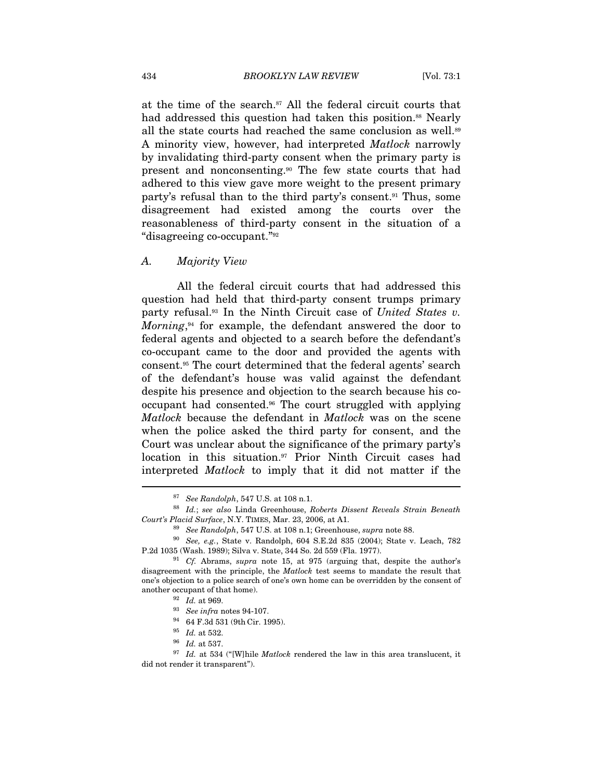at the time of the search.<sup>87</sup> All the federal circuit courts that had addressed this question had taken this position.<sup>88</sup> Nearly all the state courts had reached the same conclusion as well.<sup>89</sup> A minority view, however, had interpreted Matlock narrowly by invalidating third-party consent when the primary party is present and nonconsenting.90 The few state courts that had adhered to this view gave more weight to the present primary party's refusal than to the third party's consent.91 Thus, some disagreement had existed among the courts over the reasonableness of third-party consent in the situation of a "disagreeing co-occupant."92

#### A. Majority View

All the federal circuit courts that had addressed this question had held that third-party consent trumps primary party refusal.<sup>93</sup> In the Ninth Circuit case of United States v. *Morning*, $94$  for example, the defendant answered the door to federal agents and objected to a search before the defendant's co-occupant came to the door and provided the agents with consent.95 The court determined that the federal agents' search of the defendant's house was valid against the defendant despite his presence and objection to the search because his cooccupant had consented.96 The court struggled with applying Matlock because the defendant in Matlock was on the scene when the police asked the third party for consent, and the Court was unclear about the significance of the primary party's location in this situation.97 Prior Ninth Circuit cases had interpreted Matlock to imply that it did not matter if the  $\overline{a}$ 

<sup>&</sup>lt;sup>87</sup> See Randolph, 547 U.S. at 108 n.1.<br><sup>88</sup> Id.; see also Linda Greenhouse, Roberts Dissent Reveals Strain Beneath

Court's Placid Surface, N.Y. TIMES, Mar. 23, 2006, at A1.  $89$  See Randolph, 547 U.S. at 108 n.1; Greenhouse, supra note 88.<br> $90$  See, e.g., State v. Randolph, 604 S.E.2d 835 (2004); State v. Leach, 782 P.2d 1035 (Wash. 1989); Silva v. State, 344 So. 2d 559 (Fla. 1977). 91 Cf. Abrams, supra note 15, at 975 (arguing that, despite the author's

disagreement with the principle, the Matlock test seems to mandate the result that one's objection to a police search of one's own home can be overridden by the consent of

<sup>%</sup> another occupant of that home).<br>
92 Id. at 969.<br>
93 See infra notes 94-107.<br>
94 64 F.3d 531 (9th Cir. 1995).<br>
95 Id. at 532.<br>
96 Id. at 537.<br>
97 Id. at 534 ("[W]hile *Matlock* rendered the law in this area translucent, did not render it transparent").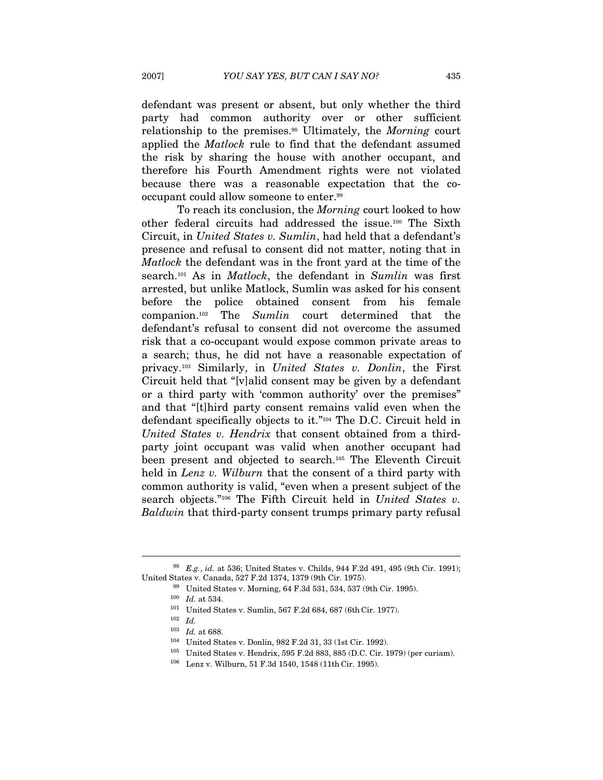defendant was present or absent, but only whether the third party had common authority over or other sufficient relationship to the premises.98 Ultimately, the Morning court applied the Matlock rule to find that the defendant assumed the risk by sharing the house with another occupant, and therefore his Fourth Amendment rights were not violated because there was a reasonable expectation that the cooccupant could allow someone to enter.99

To reach its conclusion, the Morning court looked to how other federal circuits had addressed the issue.100 The Sixth Circuit, in United States v. Sumlin, had held that a defendant's presence and refusal to consent did not matter, noting that in Matlock the defendant was in the front yard at the time of the search.<sup>101</sup> As in *Matlock*, the defendant in *Sumlin* was first arrested, but unlike Matlock, Sumlin was asked for his consent before the police obtained consent from his female companion.102 The Sumlin court determined that the defendant's refusal to consent did not overcome the assumed risk that a co-occupant would expose common private areas to a search; thus, he did not have a reasonable expectation of privacy.103 Similarly, in United States v. Donlin, the First Circuit held that "[v]alid consent may be given by a defendant or a third party with 'common authority' over the premises" and that "[t]hird party consent remains valid even when the defendant specifically objects to it."104 The D.C. Circuit held in United States v. Hendrix that consent obtained from a thirdparty joint occupant was valid when another occupant had been present and objected to search.105 The Eleventh Circuit held in Lenz v. Wilburn that the consent of a third party with common authority is valid, "even when a present subject of the search objects."<sup>106</sup> The Fifth Circuit held in United States v. Baldwin that third-party consent trumps primary party refusal

 $^{98}$  E.g., id. at 536; United States v. Childs, 944 F.2d 491, 495 (9th Cir. 1991); United States v. Canada, 527 F.2d 1374, 1379 (9th Cir. 1975).<br><sup>99</sup> United States v. Morning, 64 F.3d 531, 534, 537 (9th Cir. 1995).<br><sup>100</sup> Id. at 534.<br><sup>101</sup> United States v. Sumlin, 567 F.2d 684, 687 (6th Cir. 1977).<br><sup>102</sup>

 $103$  *Id.* at 688.

<sup>&</sup>lt;sup>104</sup> United States v. Donlin, 982 F.2d 31, 33 (1st Cir. 1992).<br><sup>105</sup> United States v. Hendrix, 595 F.2d 883, 885 (D.C. Cir. 1979) (per curiam).<br><sup>106</sup> Lenz v. Wilburn, 51 F.3d 1540, 1548 (11th Cir. 1995).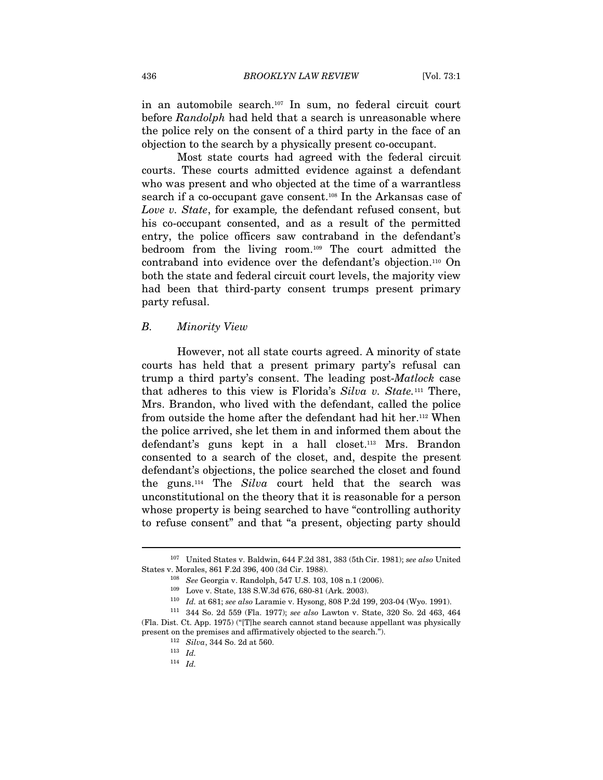in an automobile search.107 In sum, no federal circuit court before Randolph had held that a search is unreasonable where the police rely on the consent of a third party in the face of an objection to the search by a physically present co-occupant.

Most state courts had agreed with the federal circuit courts. These courts admitted evidence against a defendant who was present and who objected at the time of a warrantless search if a co-occupant gave consent.<sup>108</sup> In the Arkansas case of Love v. State, for example, the defendant refused consent, but his co-occupant consented, and as a result of the permitted entry, the police officers saw contraband in the defendant's bedroom from the living room.109 The court admitted the contraband into evidence over the defendant's objection.110 On both the state and federal circuit court levels, the majority view had been that third-party consent trumps present primary party refusal.

#### B. Minority View

However, not all state courts agreed. A minority of state courts has held that a present primary party's refusal can trump a third party's consent. The leading post-Matlock case that adheres to this view is Florida's Silva v. State.111 There, Mrs. Brandon, who lived with the defendant, called the police from outside the home after the defendant had hit her.112 When the police arrived, she let them in and informed them about the defendant's guns kept in a hall closet.113 Mrs. Brandon consented to a search of the closet, and, despite the present defendant's objections, the police searched the closet and found the guns.114 The Silva court held that the search was unconstitutional on the theory that it is reasonable for a person whose property is being searched to have "controlling authority to refuse consent" and that "a present, objecting party should

<sup>&</sup>lt;sup>107</sup> United States v. Baldwin, 644 F.2d 381, 383 (5th Cir. 1981); see also United

States v. Morales, 861 F.2d 396, 400 (3d Cir. 1988).<br>
<sup>108</sup> *See* Georgia v. Randolph, 547 U.S. 103, 108 n.1 (2006).<br>
<sup>109</sup> Love v. State, 138 S.W.3d 676, 680-81 (Ark. 2003).<br>
<sup>110</sup> *Id.* at 681; *see also* Laramie v. Hys (Fla. Dist. Ct. App. 1975) ("[T]he search cannot stand because appellant was physically present on the premises and affirmatively objected to the search.").  $112 \quad Silva, 344$  So. 2d at 560. 113 Id.

 $114$  *Id.*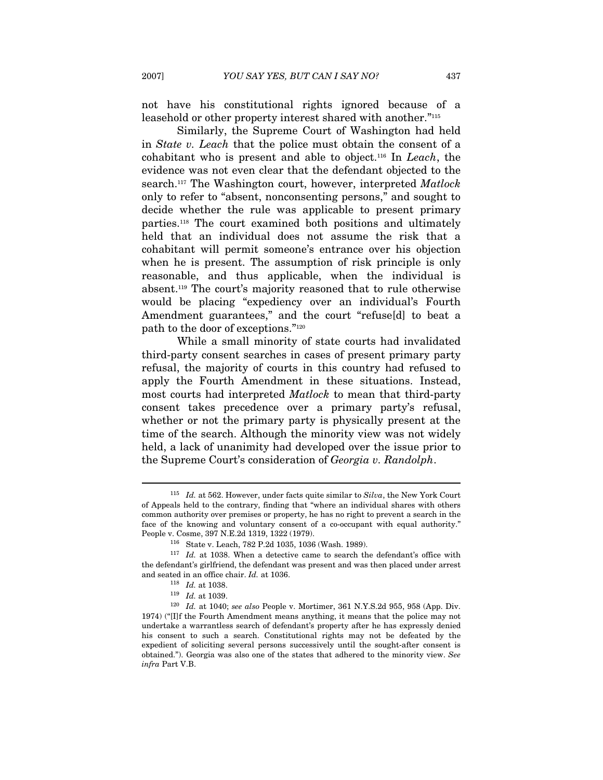not have his constitutional rights ignored because of a leasehold or other property interest shared with another."115

Similarly, the Supreme Court of Washington had held in State v. Leach that the police must obtain the consent of a cohabitant who is present and able to object.116 In Leach, the evidence was not even clear that the defendant objected to the search.<sup>117</sup> The Washington court, however, interpreted *Matlock* only to refer to "absent, nonconsenting persons," and sought to decide whether the rule was applicable to present primary parties.118 The court examined both positions and ultimately held that an individual does not assume the risk that a cohabitant will permit someone's entrance over his objection when he is present. The assumption of risk principle is only reasonable, and thus applicable, when the individual is absent.119 The court's majority reasoned that to rule otherwise would be placing "expediency over an individual's Fourth Amendment guarantees," and the court "refuse[d] to beat a path to the door of exceptions."120

While a small minority of state courts had invalidated third-party consent searches in cases of present primary party refusal, the majority of courts in this country had refused to apply the Fourth Amendment in these situations. Instead, most courts had interpreted *Matlock* to mean that third-party consent takes precedence over a primary party's refusal, whether or not the primary party is physically present at the time of the search. Although the minority view was not widely held, a lack of unanimity had developed over the issue prior to the Supreme Court's consideration of Georgia v. Randolph.

 $115$  *Id.* at 562. However, under facts quite similar to  $Silva$ , the New York Court of Appeals held to the contrary, finding that "where an individual shares with others common authority over premises or property, he has no right to prevent a search in the face of the knowing and voluntary consent of a co-occupant with equal authority."

People v. Cosme, 397 N.E.2d 1319, 1322 (1979). 116 State v. Leach, 782 P.2d 1035, 1036 (Wash. 1989).  $117$  Id. at 1038. When a detective came to search the defendant's office with the defendant's office with the defendant's girlfriend, the defendant was present and was then placed under arrest and seated in an office chair. Id. at 1036.<br><sup>118</sup> Id. at 1038.<br><sup>119</sup> Id. at 1039.<br><sup>120</sup> Id. at 1040; *see also* People v. Mortimer, 361 N.Y.S.2d 955, 958 (App. Div.

<sup>1974) (&</sup>quot;[I]f the Fourth Amendment means anything, it means that the police may not undertake a warrantless search of defendant's property after he has expressly denied his consent to such a search. Constitutional rights may not be defeated by the expedient of soliciting several persons successively until the sought-after consent is obtained."). Georgia was also one of the states that adhered to the minority view. See infra Part V.B.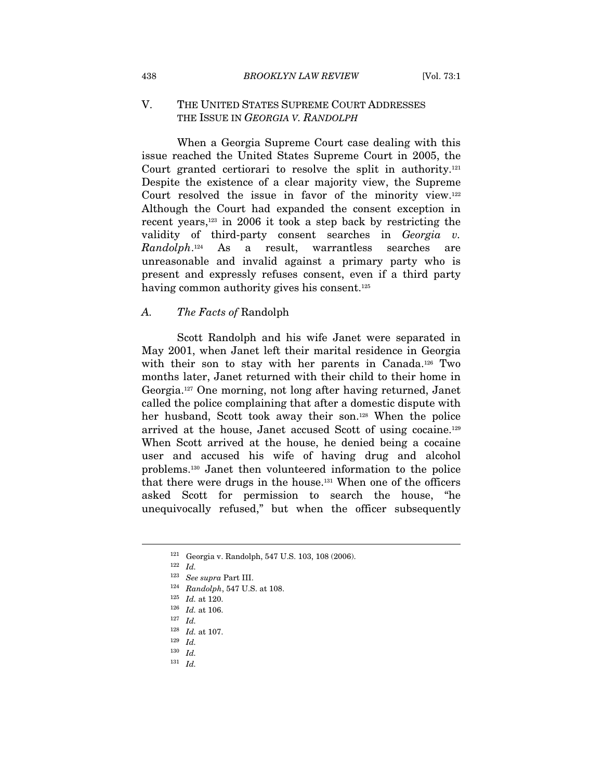## V. THE UNITED STATES SUPREME COURT ADDRESSES THE ISSUE IN GEORGIA V. RANDOLPH

When a Georgia Supreme Court case dealing with this issue reached the United States Supreme Court in 2005, the Court granted certiorari to resolve the split in authority.121 Despite the existence of a clear majority view, the Supreme Court resolved the issue in favor of the minority view.122 Although the Court had expanded the consent exception in recent years,123 in 2006 it took a step back by restricting the validity of third-party consent searches in Georgia v. Randolph.124 As a result, warrantless searches are unreasonable and invalid against a primary party who is present and expressly refuses consent, even if a third party having common authority gives his consent.<sup>125</sup>

#### A. The Facts of Randolph

Scott Randolph and his wife Janet were separated in May 2001, when Janet left their marital residence in Georgia with their son to stay with her parents in Canada.<sup>126</sup> Two months later, Janet returned with their child to their home in Georgia.127 One morning, not long after having returned, Janet called the police complaining that after a domestic dispute with her husband, Scott took away their son.128 When the police arrived at the house, Janet accused Scott of using cocaine.129 When Scott arrived at the house, he denied being a cocaine user and accused his wife of having drug and alcohol problems.130 Janet then volunteered information to the police that there were drugs in the house.131 When one of the officers asked Scott for permission to search the house, "he unequivocally refused," but when the officer subsequently

<sup>&</sup>lt;sup>121</sup> Georgia v. Randolph, 547 U.S. 103, 108 (2006). <sup>122</sup> Id

<sup>&</sup>lt;sup>123</sup> See supra Part III.<br><sup>124</sup> Randolph, 547 U.S. at 108.<br><sup>125</sup> Id. at 106.<br><sup>127</sup> Id. <sup>128</sup> Id. at 107.

 $^{129}\,$   $Id.$ 

 $\begin{array}{cc} 130 & Id. \\ 131 & Id. \end{array}$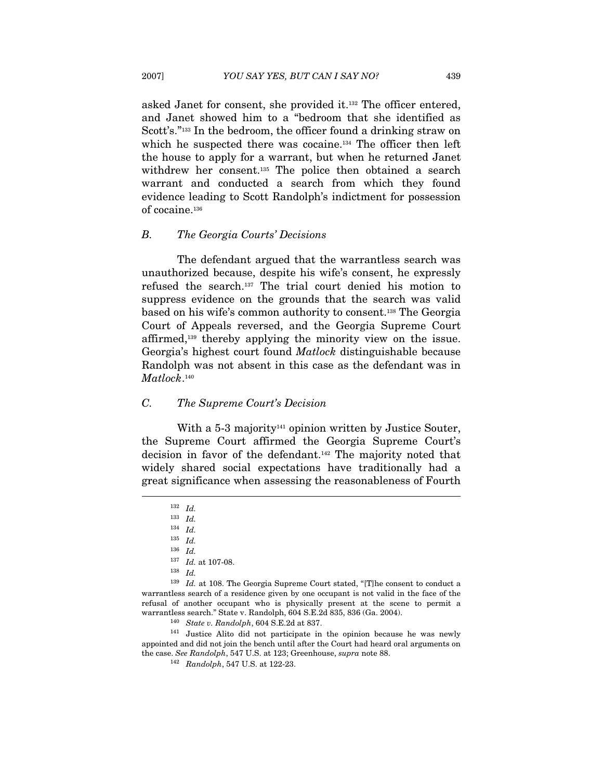asked Janet for consent, she provided it.132 The officer entered, and Janet showed him to a "bedroom that she identified as Scott's."<sup>133</sup> In the bedroom, the officer found a drinking straw on which he suspected there was cocaine.<sup>134</sup> The officer then left the house to apply for a warrant, but when he returned Janet withdrew her consent.<sup>135</sup> The police then obtained a search warrant and conducted a search from which they found evidence leading to Scott Randolph's indictment for possession of cocaine.136

#### B. The Georgia Courts' Decisions

The defendant argued that the warrantless search was unauthorized because, despite his wife's consent, he expressly refused the search.137 The trial court denied his motion to suppress evidence on the grounds that the search was valid based on his wife's common authority to consent.138 The Georgia Court of Appeals reversed, and the Georgia Supreme Court affirmed,139 thereby applying the minority view on the issue. Georgia's highest court found Matlock distinguishable because Randolph was not absent in this case as the defendant was in Matlock.<sup>140</sup>

#### C. The Supreme Court's Decision

With a  $5-3$  majority<sup>141</sup> opinion written by Justice Souter, the Supreme Court affirmed the Georgia Supreme Court's decision in favor of the defendant.142 The majority noted that widely shared social expectations have traditionally had a great significance when assessing the reasonableness of Fourth  $\overline{\phantom{a}}$ 

<sup>136</sup> Id.

<sup>140</sup> State v. Randolph, 604 S.E.2d at 837.<br><sup>141</sup> Justice Alito did not participate in the opinion because he was newly appointed and did not join the bench until after the Court had heard oral arguments on the case. See Randolph, 547 U.S. at 123; Greenhouse, supra note 88.  $\frac{142}{142}$  Randolph, 547 U.S. at 122-23.

<sup>132</sup> Id.

 $^{133}\;$   $Id.$ 

 $^{134}\;$   $Id.$ 

<sup>135</sup> Id.

<sup>137</sup> Id. at 107-08.

<sup>138</sup> Id.

 $139$  *Id.* at 108. The Georgia Supreme Court stated, "[T]he consent to conduct a warrantless search of a residence given by one occupant is not valid in the face of the refusal of another occupant who is physically present at the scene to permit a warrantless search." State v. Randolph, 604 S.E.2d 835, 836 (Ga. 2004).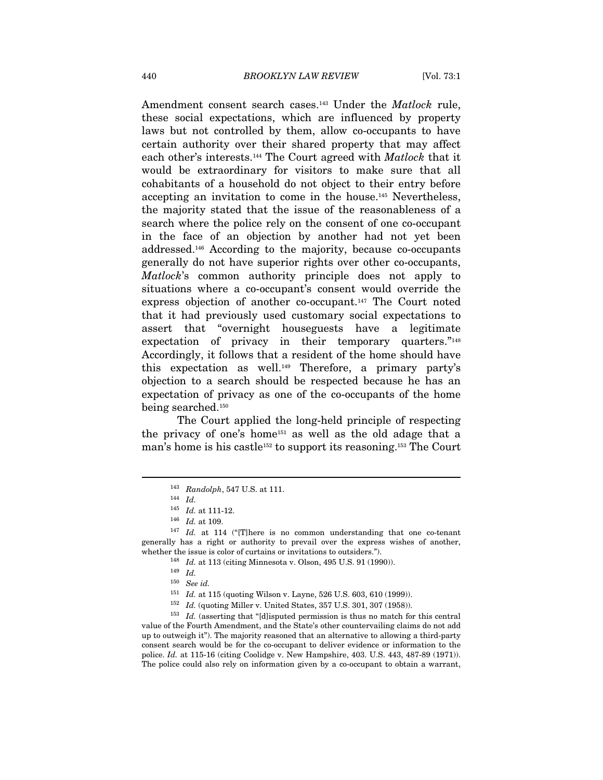Amendment consent search cases.<sup>143</sup> Under the *Matlock* rule, these social expectations, which are influenced by property laws but not controlled by them, allow co-occupants to have certain authority over their shared property that may affect each other's interests.<sup>144</sup> The Court agreed with *Matlock* that it would be extraordinary for visitors to make sure that all cohabitants of a household do not object to their entry before accepting an invitation to come in the house.145 Nevertheless, the majority stated that the issue of the reasonableness of a search where the police rely on the consent of one co-occupant in the face of an objection by another had not yet been addressed.146 According to the majority, because co-occupants generally do not have superior rights over other co-occupants, Matlock's common authority principle does not apply to situations where a co-occupant's consent would override the express objection of another co-occupant.<sup>147</sup> The Court noted that it had previously used customary social expectations to assert that "overnight houseguests have a legitimate expectation of privacy in their temporary quarters."<sup>148</sup> Accordingly, it follows that a resident of the home should have this expectation as well.149 Therefore, a primary party's objection to a search should be respected because he has an expectation of privacy as one of the co-occupants of the home being searched.150

The Court applied the long-held principle of respecting the privacy of one's home151 as well as the old adage that a man's home is his castle<sup>152</sup> to support its reasoning.<sup>153</sup> The Court

 $\overline{a}$ 

<sup>151</sup> Id. at 115 (quoting Wilson v. Layne, 526 U.S. 603, 610 (1999)).<br><sup>152</sup> Id. (quoting Miller v. United States, 357 U.S. 301, 307 (1958)).<br><sup>153</sup> Id. (asserting that "[d]isputed permission is thus no match for this centr value of the Fourth Amendment, and the State's other countervailing claims do not add up to outweigh it"). The majority reasoned that an alternative to allowing a third-party consent search would be for the co-occupant to deliver evidence or information to the police. Id. at 115-16 (citing Coolidge v. New Hampshire, 403. U.S. 443, 487-89 (1971)). The police could also rely on information given by a co-occupant to obtain a warrant,

<sup>&</sup>lt;sup>143</sup> Randolph, 547 U.S. at 111.<br><sup>144</sup> Id. at 111-12.

 $^{146}$   $\,Id.$  at 109. 147  $\,$  Id. at 114 ("[T]here is no common understanding that one co-tenant generally has a right or authority to prevail over the express wishes of another, whether the issue is color of curtains or invitations to outsiders.").<br>  $^{148}$  Id. at 113 (citing Minnesota v. Olson, 495 U.S. 91 (1990)).<br>  $^{149}$  Id.

<sup>150</sup> See id.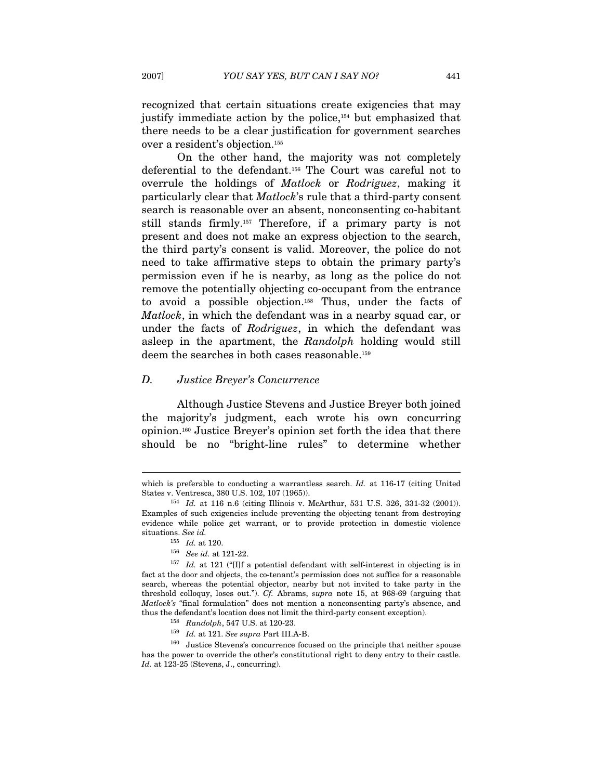recognized that certain situations create exigencies that may justify immediate action by the police,154 but emphasized that there needs to be a clear justification for government searches over a resident's objection.155

On the other hand, the majority was not completely deferential to the defendant.156 The Court was careful not to overrule the holdings of *Matlock* or *Rodriguez*, making it particularly clear that Matlock's rule that a third-party consent search is reasonable over an absent, nonconsenting co-habitant still stands firmly.157 Therefore, if a primary party is not present and does not make an express objection to the search, the third party's consent is valid. Moreover, the police do not need to take affirmative steps to obtain the primary party's permission even if he is nearby, as long as the police do not remove the potentially objecting co-occupant from the entrance to avoid a possible objection.158 Thus, under the facts of Matlock, in which the defendant was in a nearby squad car, or under the facts of *Rodriguez*, in which the defendant was asleep in the apartment, the Randolph holding would still deem the searches in both cases reasonable.159

#### D. Justice Breyer's Concurrence

Although Justice Stevens and Justice Breyer both joined the majority's judgment, each wrote his own concurring opinion.160 Justice Breyer's opinion set forth the idea that there should be no "bright-line rules" to determine whether

which is preferable to conducting a warrantless search. Id. at 116-17 (citing United States v. Ventresca, 380 U.S. 102, 107 (1965)).  $154$  Id. at 116 n.6 (citing Illinois v. McArthur, 531 U.S. 326, 331-32 (2001)).

Examples of such exigencies include preventing the objecting tenant from destroying evidence while police get warrant, or to provide protection in domestic violence situations. See id.<br> $^{155}$  Id. at 120.

<sup>&</sup>lt;sup>156</sup> See id. at 121-22.<br><sup>157</sup> Id. at 121 ("[I]f a potential defendant with self-interest in objecting is in fact at the door and objects, the co-tenant's permission does not suffice for a reasonable search, whereas the potential objector, nearby but not invited to take party in the threshold colloquy, loses out."). Cf. Abrams, supra note 15, at 968-69 (arguing that Matlock's "final formulation" does not mention a nonconsenting party's absence, and

thus the defendant's location does not limit the third-party consent exception).<br><sup>158</sup> Randolph, 547 U.S. at 120-23.<br><sup>159</sup> Id. at 121. See supra Part III.A-B.<br><sup>159</sup> Justice Stevens's concurrence focused on the principle t has the power to override the other's constitutional right to deny entry to their castle. Id. at 123-25 (Stevens, J., concurring).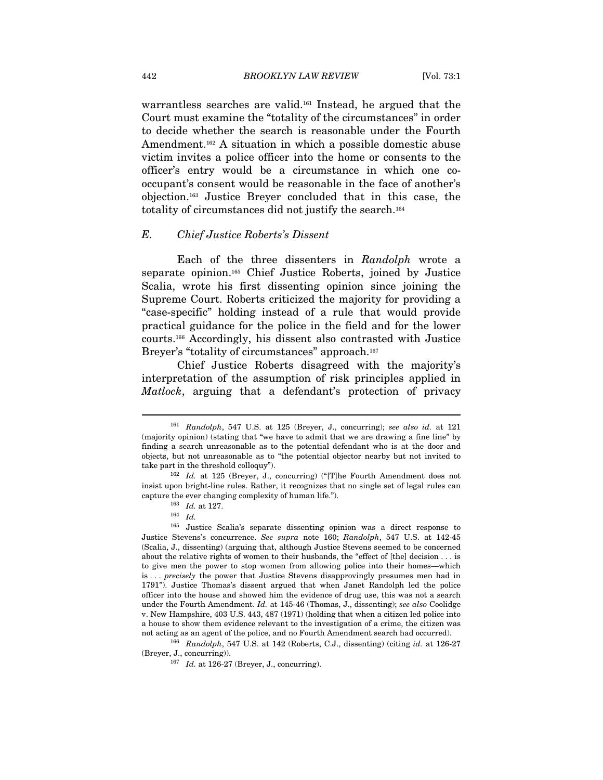warrantless searches are valid.161 Instead, he argued that the Court must examine the "totality of the circumstances" in order to decide whether the search is reasonable under the Fourth Amendment.<sup>162</sup> A situation in which a possible domestic abuse victim invites a police officer into the home or consents to the officer's entry would be a circumstance in which one cooccupant's consent would be reasonable in the face of another's objection.163 Justice Breyer concluded that in this case, the totality of circumstances did not justify the search.164

#### E. Chief Justice Roberts's Dissent

Each of the three dissenters in Randolph wrote a separate opinion.165 Chief Justice Roberts, joined by Justice Scalia, wrote his first dissenting opinion since joining the Supreme Court. Roberts criticized the majority for providing a "case-specific" holding instead of a rule that would provide practical guidance for the police in the field and for the lower courts.166 Accordingly, his dissent also contrasted with Justice Breyer's "totality of circumstances" approach.<sup>167</sup>

Chief Justice Roberts disagreed with the majority's interpretation of the assumption of risk principles applied in Matlock, arguing that a defendant's protection of privacy

 $161$  Randolph, 547 U.S. at 125 (Breyer, J., concurring); see also id. at 121 (majority opinion) (stating that "we have to admit that we are drawing a fine line" by finding a search unreasonable as to the potential defendant who is at the door and objects, but not unreasonable as to "the potential objector nearby but not invited to take part in the threshold colloquy").<br><sup>162</sup> Id. at 125 (Breyer, J., concurring) ("[T]he Fourth Amendment does not

insist upon bright-line rules. Rather, it recognizes that no single set of legal rules can

capture the ever changing complexity of human life.").<br><sup>163</sup> Id. at 127.<br><sup>164</sup> Id. <sup>165</sup> Justice Scalia's separate dissenting opinion was a direct response to Justice Stevens's concurrence. See supra note 160; Randolph, 547 U.S. at 142-45 (Scalia, J., dissenting) (arguing that, although Justice Stevens seemed to be concerned about the relative rights of women to their husbands, the "effect of [the] decision . . . is to give men the power to stop women from allowing police into their homes—which is . . . precisely the power that Justice Stevens disapprovingly presumes men had in 1791"). Justice Thomas's dissent argued that when Janet Randolph led the police officer into the house and showed him the evidence of drug use, this was not a search under the Fourth Amendment. Id. at 145-46 (Thomas, J., dissenting); see also Coolidge v. New Hampshire, 403 U.S. 443, 487 (1971) (holding that when a citizen led police into a house to show them evidence relevant to the investigation of a crime, the citizen was

not acting as an agent of the police, and no Fourth Amendment search had occurred). <sup>166</sup> Randolph, 547 U.S. at 142 (Roberts, C.J., dissenting) (citing *id.* at 126-27 (Breyer, J., concurring)).

 $167$  Id. at 126-27 (Breyer, J., concurring).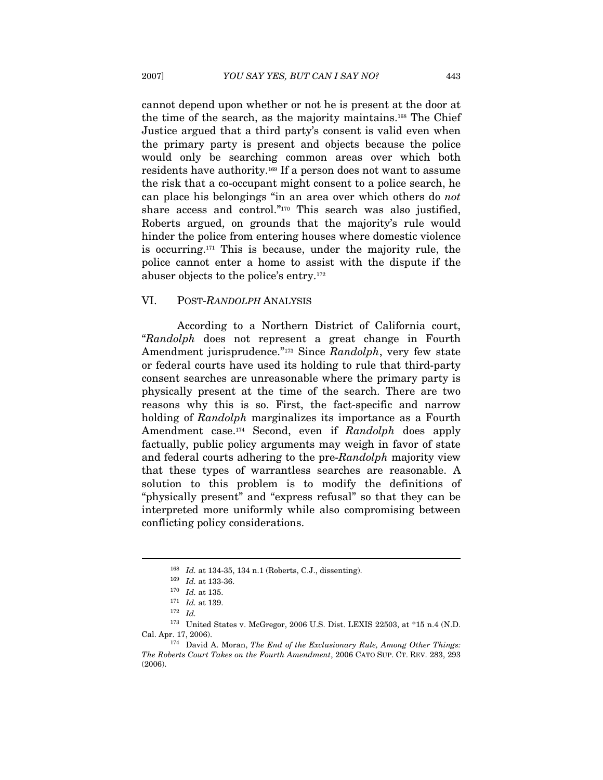cannot depend upon whether or not he is present at the door at the time of the search, as the majority maintains.168 The Chief Justice argued that a third party's consent is valid even when the primary party is present and objects because the police would only be searching common areas over which both residents have authority.169 If a person does not want to assume the risk that a co-occupant might consent to a police search, he can place his belongings "in an area over which others do not share access and control."<sup>170</sup> This search was also justified, Roberts argued, on grounds that the majority's rule would hinder the police from entering houses where domestic violence is occurring.171 This is because, under the majority rule, the police cannot enter a home to assist with the dispute if the abuser objects to the police's entry.172

#### VI. POST-RANDOLPH ANALYSIS

According to a Northern District of California court, "Randolph does not represent a great change in Fourth Amendment jurisprudence."173 Since Randolph, very few state or federal courts have used its holding to rule that third-party consent searches are unreasonable where the primary party is physically present at the time of the search. There are two reasons why this is so. First, the fact-specific and narrow holding of Randolph marginalizes its importance as a Fourth Amendment case.<sup>174</sup> Second, even if Randolph does apply factually, public policy arguments may weigh in favor of state and federal courts adhering to the pre-Randolph majority view that these types of warrantless searches are reasonable. A solution to this problem is to modify the definitions of "physically present" and "express refusal" so that they can be interpreted more uniformly while also compromising between conflicting policy considerations.

<sup>&</sup>lt;sup>168</sup> Id. at 134-35, 134 n.1 (Roberts, C.J., dissenting).<br>
<sup>169</sup> Id. at 133-36.<br>
<sup>170</sup> Id. at 135.<br>
<sup>171</sup> Id. at 139.<br>
<sup>172</sup> Id. 173 United States v. McGregor, 2006 U.S. Dist. LEXIS 22503, at \*15 n.4 (N.D. Cal. Apr. 17, 2006). 174 David A. Moran, *The End of the Exclusionary Rule, Among Other Things:* 

The Roberts Court Takes on the Fourth Amendment, 2006 CATO SUP. CT. REV. 283, 293 (2006).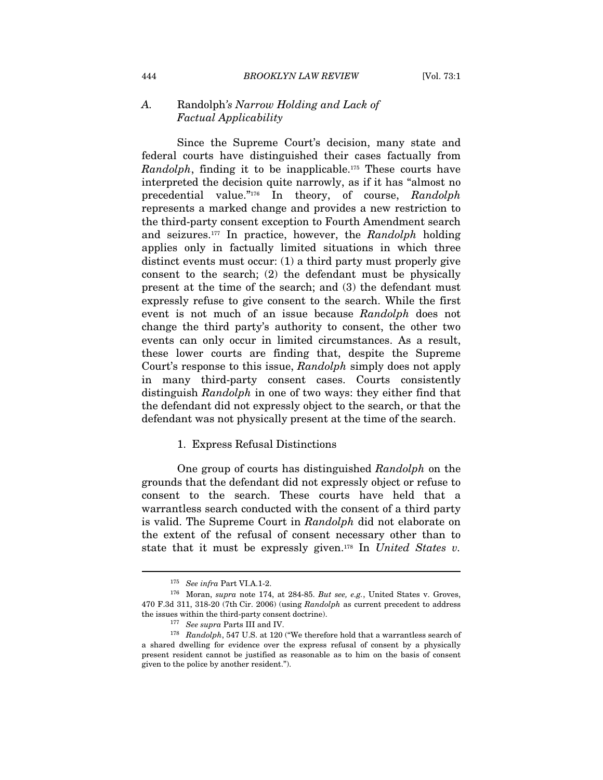## A. Randolph's Narrow Holding and Lack of Factual Applicability

Since the Supreme Court's decision, many state and federal courts have distinguished their cases factually from Randolph, finding it to be inapplicable.175 These courts have interpreted the decision quite narrowly, as if it has "almost no precedential value."176 In theory, of course, Randolph represents a marked change and provides a new restriction to the third-party consent exception to Fourth Amendment search and seizures.<sup>177</sup> In practice, however, the Randolph holding applies only in factually limited situations in which three distinct events must occur: (1) a third party must properly give consent to the search; (2) the defendant must be physically present at the time of the search; and (3) the defendant must expressly refuse to give consent to the search. While the first event is not much of an issue because Randolph does not change the third party's authority to consent, the other two events can only occur in limited circumstances. As a result, these lower courts are finding that, despite the Supreme Court's response to this issue, Randolph simply does not apply in many third-party consent cases. Courts consistently distinguish *Randolph* in one of two ways: they either find that the defendant did not expressly object to the search, or that the defendant was not physically present at the time of the search.

#### 1. Express Refusal Distinctions

One group of courts has distinguished Randolph on the grounds that the defendant did not expressly object or refuse to consent to the search. These courts have held that a warrantless search conducted with the consent of a third party is valid. The Supreme Court in Randolph did not elaborate on the extent of the refusal of consent necessary other than to state that it must be expressly given.<sup>178</sup> In United States v.

 $^{175}\,$  See infra Part VI.A.1-2.  $^{176}\,$  Moran,  $supra$  note 174, at 284-85. But see, e.g., United States v. Groves, 470 F.3d 311, 318-20 (7th Cir. 2006) (using Randolph as current precedent to address the issues within the third-party consent doctrine).<br><sup>177</sup> See supra Parts III and IV.<br><sup>178</sup> Randolph, 547 U.S. at 120 ("We therefore hold that a warrantless search of

a shared dwelling for evidence over the express refusal of consent by a physically present resident cannot be justified as reasonable as to him on the basis of consent given to the police by another resident.").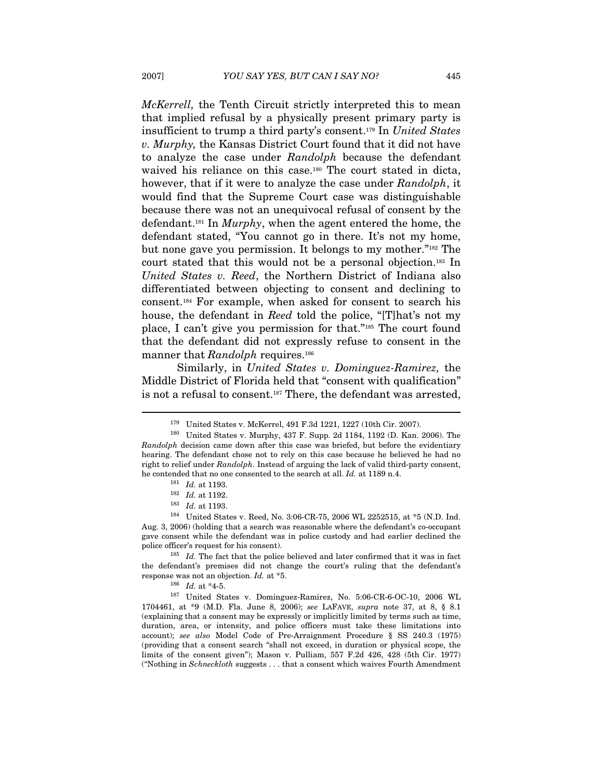McKerrell, the Tenth Circuit strictly interpreted this to mean that implied refusal by a physically present primary party is insufficient to trump a third party's consent.179 In United States v. Murphy, the Kansas District Court found that it did not have to analyze the case under Randolph because the defendant waived his reliance on this case.<sup>180</sup> The court stated in dicta, however, that if it were to analyze the case under Randolph, it would find that the Supreme Court case was distinguishable because there was not an unequivocal refusal of consent by the defendant.181 In Murphy, when the agent entered the home, the defendant stated, "You cannot go in there. It's not my home, but none gave you permission. It belongs to my mother."182 The court stated that this would not be a personal objection.183 In United States v. Reed, the Northern District of Indiana also differentiated between objecting to consent and declining to consent.184 For example, when asked for consent to search his house, the defendant in Reed told the police, "[T]hat's not my place, I can't give you permission for that."185 The court found that the defendant did not expressly refuse to consent in the manner that Randolph requires.<sup>186</sup>

Similarly, in United States v. Dominguez-Ramirez, the Middle District of Florida held that "consent with qualification" is not a refusal to consent.187 There, the defendant was arrested,

<sup>&</sup>lt;sup>179</sup> United States v. McKerrel, 491 F.3d 1221, 1227 (10th Cir. 2007).<br><sup>180</sup> United States v. Murphy, 437 F. Supp. 2d 1184, 1192 (D. Kan. 2006). The Randolph decision came down after this case was briefed, but before the evidentiary hearing. The defendant chose not to rely on this case because he believed he had no right to relief under Randolph. Instead of arguing the lack of valid third-party consent, % he contended that no one consented to the search at all. Id. at 1189 n.4. 181  $Id$ . at 1193.<br>
182  $Id$ . at 1193.<br>
184 United States v. Reed, No. 3:06-CR-75, 2006 WL 2252515, at \*5 (N.D. Ind.

Aug. 3, 2006) (holding that a search was reasonable where the defendant's co-occupant gave consent while the defendant was in police custody and had earlier declined the police officer's request for his consent).<br><sup>185</sup> Id. The fact that the police believed and later confirmed that it was in fact

the defendant's premises did not change the court's ruling that the defendant's response was not an objection. Id. at \*5.<br> $\frac{186}{16}$  Id. at \*4-5.

<sup>187</sup> United States v. Dominguez-Ramirez, No. 5:06-CR-6-OC-10, 2006 WL 1704461, at \*9 (M.D. Fla. June 8, 2006); see LAFAVE, supra note 37, at 8, § 8.1 (explaining that a consent may be expressly or implicitly limited by terms such as time, duration, area, or intensity, and police officers must take these limitations into account); see also Model Code of Pre-Arraignment Procedure § SS 240.3 (1975) (providing that a consent search "shall not exceed, in duration or physical scope, the limits of the consent given"); Mason v. Pulliam, 557 F.2d 426, 428 (5th Cir. 1977) ("Nothing in Schneckloth suggests . . . that a consent which waives Fourth Amendment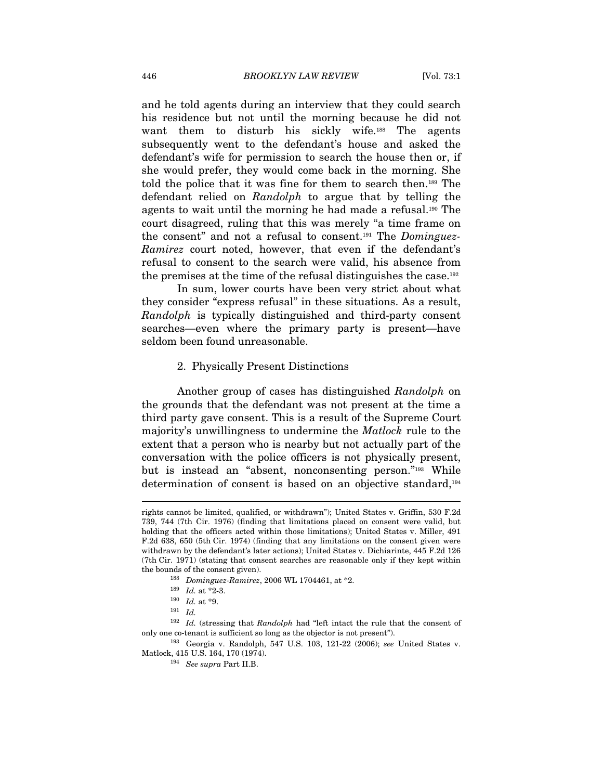and he told agents during an interview that they could search his residence but not until the morning because he did not want them to disturb his sickly wife.<sup>188</sup> The agents subsequently went to the defendant's house and asked the defendant's wife for permission to search the house then or, if she would prefer, they would come back in the morning. She told the police that it was fine for them to search then.189 The defendant relied on Randolph to argue that by telling the agents to wait until the morning he had made a refusal.190 The court disagreed, ruling that this was merely "a time frame on the consent" and not a refusal to consent.<sup>191</sup> The *Dominguez*-Ramirez court noted, however, that even if the defendant's refusal to consent to the search were valid, his absence from the premises at the time of the refusal distinguishes the case.192

In sum, lower courts have been very strict about what they consider "express refusal" in these situations. As a result, Randolph is typically distinguished and third-party consent searches—even where the primary party is present—have seldom been found unreasonable.

#### 2. Physically Present Distinctions

Another group of cases has distinguished Randolph on the grounds that the defendant was not present at the time a third party gave consent. This is a result of the Supreme Court majority's unwillingness to undermine the Matlock rule to the extent that a person who is nearby but not actually part of the conversation with the police officers is not physically present, but is instead an "absent, nonconsenting person."193 While determination of consent is based on an objective standard,194

rights cannot be limited, qualified, or withdrawn"); United States v. Griffin, 530 F.2d 739, 744 (7th Cir. 1976) (finding that limitations placed on consent were valid, but holding that the officers acted within those limitations); United States v. Miller, 491 F.2d 638, 650 (5th Cir. 1974) (finding that any limitations on the consent given were withdrawn by the defendant's later actions); United States v. Dichiarinte, 445 F.2d 126 (7th Cir. 1971) (stating that consent searches are reasonable only if they kept within the bounds of the consent given).<br>
<sup>188</sup> Dominguez-Ramirez, 2006 WL 1704461, at \*2.<br>
<sup>189</sup> Id. at \*2-3.<br>
<sup>190</sup> Id. at \*9.<br>
<sup>191</sup> Id.

 $^{192}\,$   $\,$  Id. (stressing that  $Randomph$  had "left intact the rule that the consent of only one co-tenant is sufficient so long as the objector is not present").<br><sup>193</sup> Georgia v. Randolph, 547 U.S. 103, 121-22 (2006); *see* United States v.

Matlock, 415 U.S. 164, 170 (1974). 194 See supra Part II.B.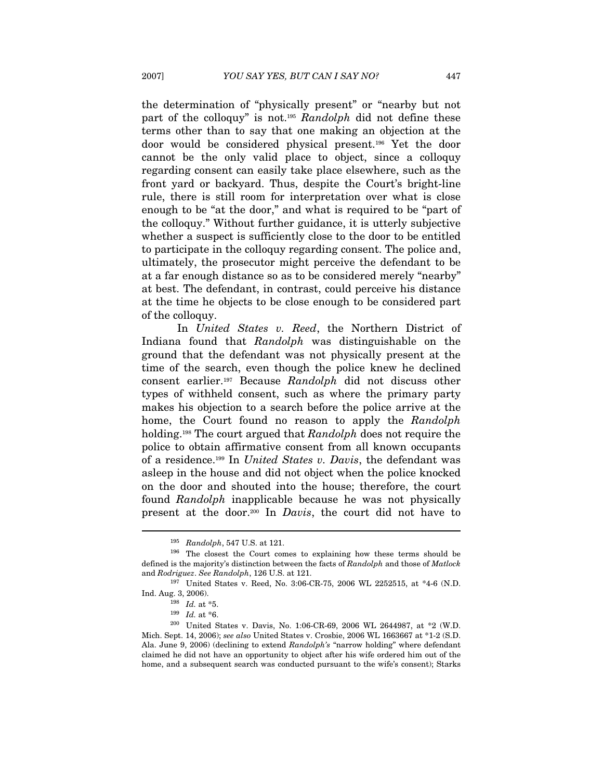the determination of "physically present" or "nearby but not part of the colloquy" is not.<sup>195</sup> Randolph did not define these terms other than to say that one making an objection at the door would be considered physical present.196 Yet the door cannot be the only valid place to object, since a colloquy regarding consent can easily take place elsewhere, such as the front yard or backyard. Thus, despite the Court's bright-line rule, there is still room for interpretation over what is close enough to be "at the door," and what is required to be "part of the colloquy." Without further guidance, it is utterly subjective whether a suspect is sufficiently close to the door to be entitled to participate in the colloquy regarding consent. The police and, ultimately, the prosecutor might perceive the defendant to be at a far enough distance so as to be considered merely "nearby" at best. The defendant, in contrast, could perceive his distance at the time he objects to be close enough to be considered part of the colloquy.

In United States v. Reed, the Northern District of Indiana found that Randolph was distinguishable on the ground that the defendant was not physically present at the time of the search, even though the police knew he declined consent earlier.197 Because Randolph did not discuss other types of withheld consent, such as where the primary party makes his objection to a search before the police arrive at the home, the Court found no reason to apply the Randolph holding.<sup>198</sup> The court argued that Randolph does not require the police to obtain affirmative consent from all known occupants of a residence.199 In United States v. Davis, the defendant was asleep in the house and did not object when the police knocked on the door and shouted into the house; therefore, the court found Randolph inapplicable because he was not physically present at the door.<sup>200</sup> In *Davis*, the court did not have to

<sup>&</sup>lt;sup>195</sup> Randolph, 547 U.S. at 121.<br><sup>196</sup> The closest the Court comes to explaining how these terms should be defined is the majority's distinction between the facts of Randolph and those of Matlock and  $Rodriguez. See Randomoph, 126 U.S.$  at 121.<br><sup>197</sup> United States v. Reed, No. 3:06-CR-75, 2006 WL 2252515, at \*4-6 (N.D.

Ind. Aug. 3, 2006). 198 Id. at \*5. 199 Id. at \*6. 200 United States v. Davis, No. 1:06-CR-69, 2006 WL 2644987, at \*2 (W.D. Mich. Sept. 14, 2006); see also United States v. Crosbie, 2006 WL 1663667 at \*1-2 (S.D. Ala. June 9, 2006) (declining to extend Randolph's "narrow holding" where defendant claimed he did not have an opportunity to object after his wife ordered him out of the home, and a subsequent search was conducted pursuant to the wife's consent); Starks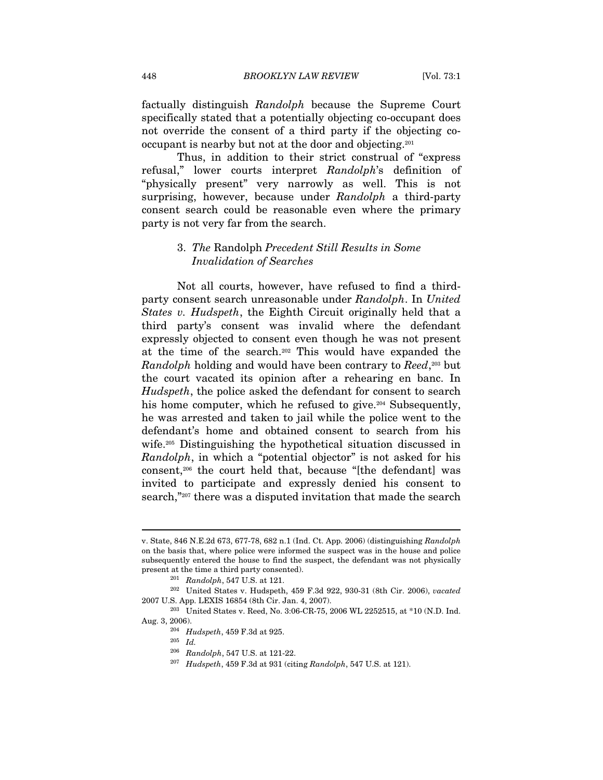factually distinguish Randolph because the Supreme Court specifically stated that a potentially objecting co-occupant does not override the consent of a third party if the objecting cooccupant is nearby but not at the door and objecting.201

Thus, in addition to their strict construal of "express refusal," lower courts interpret Randolph's definition of "physically present" very narrowly as well. This is not surprising, however, because under Randolph a third-party consent search could be reasonable even where the primary party is not very far from the search.

#### 3. The Randolph Precedent Still Results in Some Invalidation of Searches

Not all courts, however, have refused to find a thirdparty consent search unreasonable under Randolph. In United States v. Hudspeth, the Eighth Circuit originally held that a third party's consent was invalid where the defendant expressly objected to consent even though he was not present at the time of the search.202 This would have expanded the Randolph holding and would have been contrary to Reed,<sup>203</sup> but the court vacated its opinion after a rehearing en banc. In Hudspeth, the police asked the defendant for consent to search his home computer, which he refused to give.<sup>204</sup> Subsequently, he was arrested and taken to jail while the police went to the defendant's home and obtained consent to search from his wife.205 Distinguishing the hypothetical situation discussed in Randolph, in which a "potential objector" is not asked for his consent,206 the court held that, because "[the defendant] was invited to participate and expressly denied his consent to search,"207 there was a disputed invitation that made the search

v. State, 846 N.E.2d 673, 677-78, 682 n.1 (Ind. Ct. App. 2006) (distinguishing Randolph on the basis that, where police were informed the suspect was in the house and police subsequently entered the house to find the suspect, the defendant was not physically

present at the time a third party consented).<br>
<sup>201</sup> Randolph, 547 U.S. at 121.<br>
<sup>202</sup> United States v. Hudspeth, 459 F.3d 922, 930-31 (8th Cir. 2006), *vacated*<br>
2007 U.S. App. LEXIS 16854 (8th Cir. Jan. 4, 2007).

<sup>&</sup>lt;sup>203</sup> United States v. Reed, No. 3:06-CR-75, 2006 WL 2252515, at  $*10$  (N.D. Ind.

Aug. 3, 2006).  $\frac{204}{Hudspeth}$ , 459 F.3d at 925.

 $^{205}\;$   $Id.$ 

<sup>&</sup>lt;sup>206</sup> Randolph, 547 U.S. at 121-22.<br><sup>207</sup> Hudspeth, 459 F.3d at 931 (citing Randolph, 547 U.S. at 121).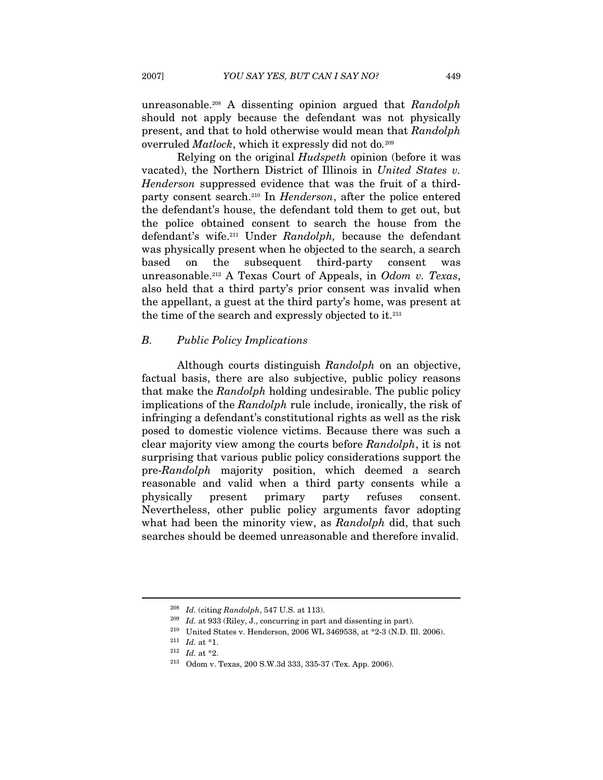unreasonable.<sup>208</sup> A dissenting opinion argued that Randolph should not apply because the defendant was not physically present, and that to hold otherwise would mean that Randolph overruled Matlock, which it expressly did not do.<sup>209</sup>

Relying on the original Hudspeth opinion (before it was vacated), the Northern District of Illinois in United States v. Henderson suppressed evidence that was the fruit of a thirdparty consent search.210 In Henderson, after the police entered the defendant's house, the defendant told them to get out, but the police obtained consent to search the house from the defendant's wife.<sup>211</sup> Under Randolph, because the defendant was physically present when he objected to the search, a search based on the subsequent third-party consent was unreasonable.212 A Texas Court of Appeals, in Odom v. Texas, also held that a third party's prior consent was invalid when the appellant, a guest at the third party's home, was present at the time of the search and expressly objected to it.213

#### B. Public Policy Implications

Although courts distinguish Randolph on an objective, factual basis, there are also subjective, public policy reasons that make the Randolph holding undesirable. The public policy implications of the Randolph rule include, ironically, the risk of infringing a defendant's constitutional rights as well as the risk posed to domestic violence victims. Because there was such a clear majority view among the courts before Randolph, it is not surprising that various public policy considerations support the pre-Randolph majority position, which deemed a search reasonable and valid when a third party consents while a physically present primary party refuses consent. Nevertheless, other public policy arguments favor adopting what had been the minority view, as Randolph did, that such searches should be deemed unreasonable and therefore invalid.

<sup>&</sup>lt;sup>208</sup> Id. (citing Randolph, 547 U.S. at 113).<br><sup>209</sup> Id. at 933 (Riley, J., concurring in part and dissenting in part).<br><sup>210</sup> United States v. Henderson, 2006 WL 3469538, at \*2-3 (N.D. Ill. 2006).

<sup>&</sup>lt;sup>211</sup> *Id.* at \*1.<br><sup>212</sup> *Id.* at \*2.

<sup>&</sup>lt;sup>213</sup> Odom v. Texas, 200 S.W.3d 333, 335-37 (Tex. App. 2006).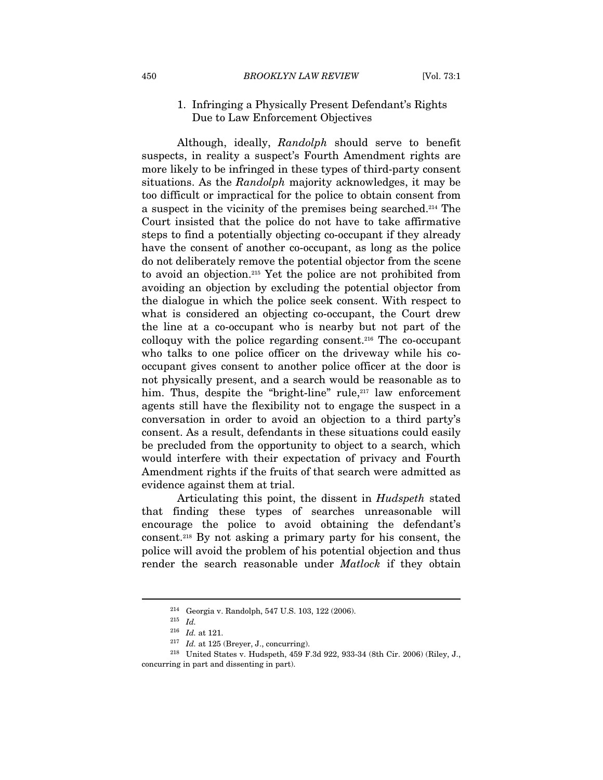#### 1. Infringing a Physically Present Defendant's Rights Due to Law Enforcement Objectives

Although, ideally, Randolph should serve to benefit suspects, in reality a suspect's Fourth Amendment rights are more likely to be infringed in these types of third-party consent situations. As the Randolph majority acknowledges, it may be too difficult or impractical for the police to obtain consent from a suspect in the vicinity of the premises being searched.214 The Court insisted that the police do not have to take affirmative steps to find a potentially objecting co-occupant if they already have the consent of another co-occupant, as long as the police do not deliberately remove the potential objector from the scene to avoid an objection.215 Yet the police are not prohibited from avoiding an objection by excluding the potential objector from the dialogue in which the police seek consent. With respect to what is considered an objecting co-occupant, the Court drew the line at a co-occupant who is nearby but not part of the colloquy with the police regarding consent.216 The co-occupant who talks to one police officer on the driveway while his cooccupant gives consent to another police officer at the door is not physically present, and a search would be reasonable as to him. Thus, despite the "bright-line" rule,<sup>217</sup> law enforcement agents still have the flexibility not to engage the suspect in a conversation in order to avoid an objection to a third party's consent. As a result, defendants in these situations could easily be precluded from the opportunity to object to a search, which would interfere with their expectation of privacy and Fourth Amendment rights if the fruits of that search were admitted as evidence against them at trial.

Articulating this point, the dissent in Hudspeth stated that finding these types of searches unreasonable will encourage the police to avoid obtaining the defendant's consent.218 By not asking a primary party for his consent, the police will avoid the problem of his potential objection and thus render the search reasonable under *Matlock* if they obtain

 $^{214}$  Georgia v. Randolph, 547 U.S. 103, 122 (2006).  $^{215}$   $\,$   $Id.$  at 121.

 $^{217}$   $\,$   $Id.$  at 125 (Breyer, J., concurring).  $^{218}$  United States v. Hudspeth, 459 F.3d 922, 933-34 (8th Cir. 2006) (Riley, J., concurring in part and dissenting in part).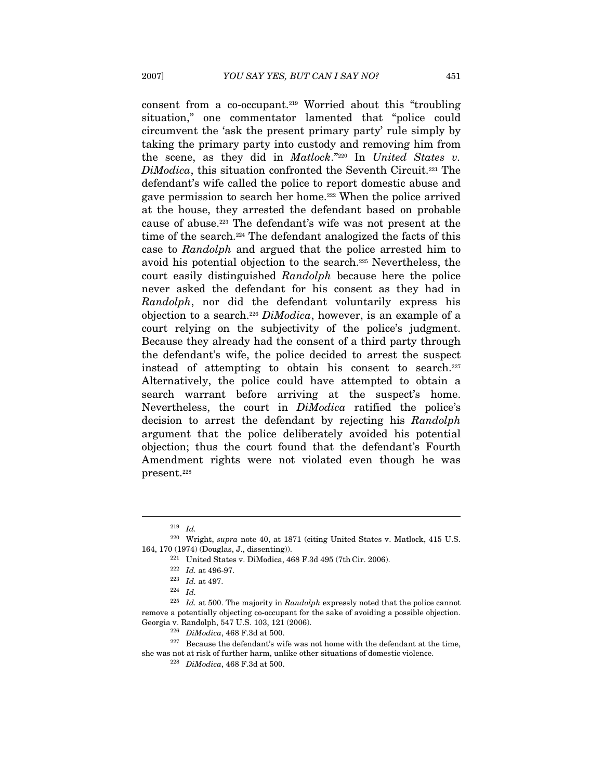consent from a co-occupant.219 Worried about this "troubling situation," one commentator lamented that "police could circumvent the 'ask the present primary party' rule simply by taking the primary party into custody and removing him from the scene, as they did in Matlock." $220$  In United States v. DiModica, this situation confronted the Seventh Circuit.<sup>221</sup> The defendant's wife called the police to report domestic abuse and gave permission to search her home.222 When the police arrived at the house, they arrested the defendant based on probable cause of abuse.223 The defendant's wife was not present at the time of the search.<sup>224</sup> The defendant analogized the facts of this case to Randolph and argued that the police arrested him to avoid his potential objection to the search.225 Nevertheless, the court easily distinguished Randolph because here the police never asked the defendant for his consent as they had in Randolph, nor did the defendant voluntarily express his objection to a search.226 DiModica, however, is an example of a court relying on the subjectivity of the police's judgment. Because they already had the consent of a third party through the defendant's wife, the police decided to arrest the suspect instead of attempting to obtain his consent to search.227 Alternatively, the police could have attempted to obtain a search warrant before arriving at the suspect's home. Nevertheless, the court in DiModica ratified the police's decision to arrest the defendant by rejecting his Randolph argument that the police deliberately avoided his potential objection; thus the court found that the defendant's Fourth Amendment rights were not violated even though he was present.228

 $^{219}$   $\,$   $Id.$   $^{220}$  Wright,  $supra$  note 40, at 1871 (citing United States v. Matlock, 415 U.S. 164, 170 (1974) (Douglas, J., dissenting)). 221 United States v. DiModica, 468 F.3d 495 (7th Cir. 2006).

<sup>&</sup>lt;sup>222</sup> *Id.* at 496-97.<br><sup>223</sup> *Id.* at 497.<br><sup>224</sup> *Id.* 

 $225$  *Id.* at 500. The majority in *Randolph* expressly noted that the police cannot remove a potentially objecting co-occupant for the sake of avoiding a possible objection.<br>Georgia v. Randolph, 547 U.S. 103, 121 (2006).

 $^{226}$   $\,$  DiModica, 468 F.3d at 500. 227 Because the defendant's wife was not home with the defendant at the time, she was not at risk of further harm, unlike other situations of domestic violence.  $^{228}$  DiModica, 468 F.3d at 500.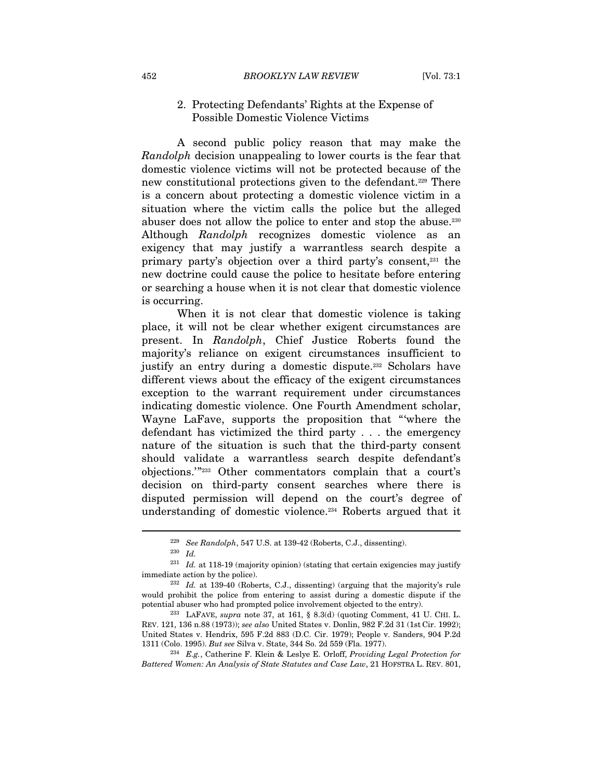#### 2. Protecting Defendants' Rights at the Expense of Possible Domestic Violence Victims

A second public policy reason that may make the Randolph decision unappealing to lower courts is the fear that domestic violence victims will not be protected because of the new constitutional protections given to the defendant.<sup>229</sup> There is a concern about protecting a domestic violence victim in a situation where the victim calls the police but the alleged abuser does not allow the police to enter and stop the abuse.230 Although Randolph recognizes domestic violence as an exigency that may justify a warrantless search despite a primary party's objection over a third party's consent,231 the new doctrine could cause the police to hesitate before entering or searching a house when it is not clear that domestic violence is occurring.

When it is not clear that domestic violence is taking place, it will not be clear whether exigent circumstances are present. In Randolph, Chief Justice Roberts found the majority's reliance on exigent circumstances insufficient to justify an entry during a domestic dispute.232 Scholars have different views about the efficacy of the exigent circumstances exception to the warrant requirement under circumstances indicating domestic violence. One Fourth Amendment scholar, Wayne LaFave, supports the proposition that "'where the defendant has victimized the third party . . . the emergency nature of the situation is such that the third-party consent should validate a warrantless search despite defendant's objections.'"233 Other commentators complain that a court's decision on third-party consent searches where there is disputed permission will depend on the court's degree of understanding of domestic violence.234 Roberts argued that it

<sup>229</sup> See Randolph, 547 U.S. at 139-42 (Roberts, C.J., dissenting). 230 Id.

 $231$  Id. at 118-19 (majority opinion) (stating that certain exigencies may justify immediate action by the police). 232 Id. at 139-40 (Roberts, C.J., dissenting) (arguing that the majority's rule

would prohibit the police from entering to assist during a domestic dispute if the potential abuser who had prompted police involvement objected to the entry). 233 LAFAVE, supra note 37, at 161, § 8.3(d) (quoting Comment, 41 U. CHI. L.

REV. 121, 136 n.88 (1973)); see also United States v. Donlin, 982 F.2d 31 (1st Cir. 1992); United States v. Hendrix, 595 F.2d 883 (D.C. Cir. 1979); People v. Sanders, 904 P.2d 1311 (Colo. 1995). But see Silva v. State, 344 So. 2d 559 (Fla. 1977).<br><sup>234</sup> E.g., Catherine F. Klein & Leslye E. Orloff, Providing Legal Protection for

Battered Women: An Analysis of State Statutes and Case Law, 21 HOFSTRA L. REV. 801,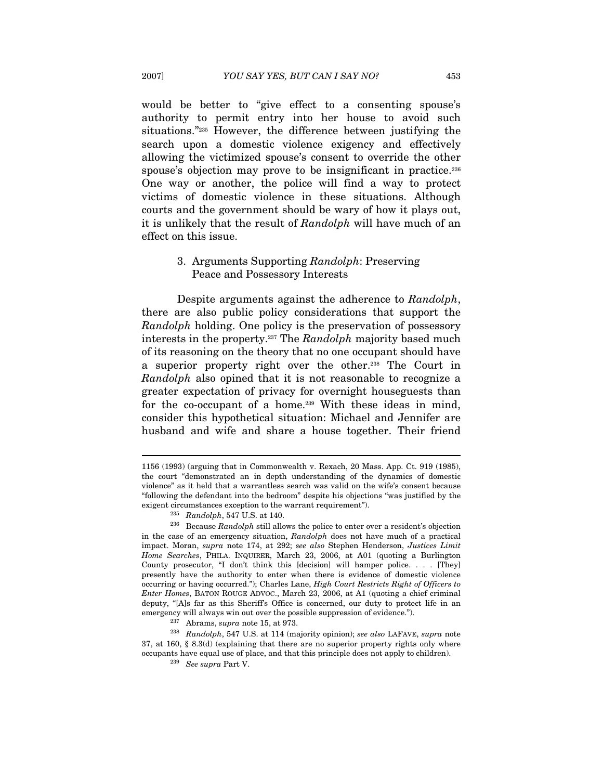would be better to "give effect to a consenting spouse's authority to permit entry into her house to avoid such situations."235 However, the difference between justifying the search upon a domestic violence exigency and effectively allowing the victimized spouse's consent to override the other spouse's objection may prove to be insignificant in practice.<sup>236</sup> One way or another, the police will find a way to protect victims of domestic violence in these situations. Although courts and the government should be wary of how it plays out, it is unlikely that the result of Randolph will have much of an effect on this issue.

## 3. Arguments Supporting Randolph: Preserving Peace and Possessory Interests

Despite arguments against the adherence to Randolph, there are also public policy considerations that support the Randolph holding. One policy is the preservation of possessory interests in the property.<sup>237</sup> The Randolph majority based much of its reasoning on the theory that no one occupant should have a superior property right over the other.238 The Court in Randolph also opined that it is not reasonable to recognize a greater expectation of privacy for overnight houseguests than for the co-occupant of a home.<sup>239</sup> With these ideas in mind, consider this hypothetical situation: Michael and Jennifer are husband and wife and share a house together. Their friend

<sup>1156 (1993) (</sup>arguing that in Commonwealth v. Rexach, 20 Mass. App. Ct. 919 (1985), the court "demonstrated an in depth understanding of the dynamics of domestic violence" as it held that a warrantless search was valid on the wife's consent because "following the defendant into the bedroom" despite his objections "was justified by the

exigent circumstances exception to the warrant requirement").<br><sup>235</sup> Randolph, 547 U.S. at 140.<br><sup>236</sup> Because Randolph still allows the police to enter over a resident's objection in the case of an emergency situation, Randolph does not have much of a practical impact. Moran, supra note 174, at 292; see also Stephen Henderson, Justices Limit Home Searches, PHILA. INQUIRER, March 23, 2006, at A01 (quoting a Burlington County prosecutor, "I don't think this [decision] will hamper police. . . . [They] presently have the authority to enter when there is evidence of domestic violence occurring or having occurred."); Charles Lane, High Court Restricts Right of Officers to Enter Homes, BATON ROUGE ADVOC., March 23, 2006, at A1 (quoting a chief criminal deputy, "[A]s far as this Sheriff's Office is concerned, our duty to protect life in an

emergency will always win out over the possible suppression of evidence.").<br><sup>237</sup> Abrams, *supra* note 15, at 973.<br><sup>238</sup> Randolph, 547 U.S. at 114 (majority opinion); *see also* LAFAVE, *supra* note 37, at 160, § 8.3(d) (explaining that there are no superior property rights only where occupants have equal use of place, and that this principle does not apply to children). 239 See supra Part V.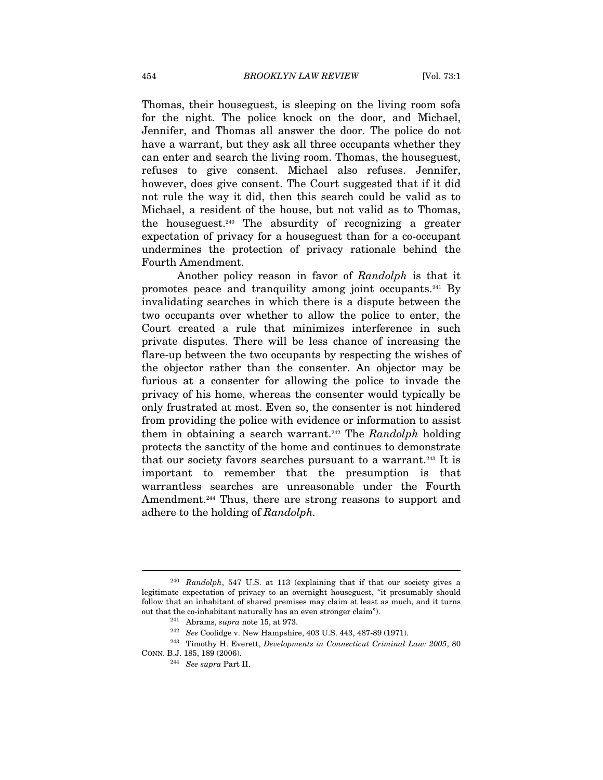Thomas, their houseguest, is sleeping on the living room sofa for the night. The police knock on the door, and Michael, Jennifer, and Thomas all answer the door. The police do not have a warrant, but they ask all three occupants whether they can enter and search the living room. Thomas, the houseguest, refuses to give consent. Michael also refuses. Jennifer, however, does give consent. The Court suggested that if it did not rule the way it did, then this search could be valid as to Michael, a resident of the house, but not valid as to Thomas, the houseguest.240 The absurdity of recognizing a greater expectation of privacy for a houseguest than for a co-occupant undermines the protection of privacy rationale behind the Fourth Amendment.

Another policy reason in favor of Randolph is that it promotes peace and tranquility among joint occupants.241 By invalidating searches in which there is a dispute between the two occupants over whether to allow the police to enter, the Court created a rule that minimizes interference in such private disputes. There will be less chance of increasing the flare-up between the two occupants by respecting the wishes of the objector rather than the consenter. An objector may be furious at a consenter for allowing the police to invade the privacy of his home, whereas the consenter would typically be only frustrated at most. Even so, the consenter is not hindered from providing the police with evidence or information to assist them in obtaining a search warrant.<sup>242</sup> The Randolph holding protects the sanctity of the home and continues to demonstrate that our society favors searches pursuant to a warrant.243 It is important to remember that the presumption is that warrantless searches are unreasonable under the Fourth Amendment.<sup>244</sup> Thus, there are strong reasons to support and adhere to the holding of Randolph.

<sup>240</sup> Randolph, 547 U.S. at 113 (explaining that if that our society gives a legitimate expectation of privacy to an overnight houseguest, "it presumably should follow that an inhabitant of shared premises may claim at least as much, and it turns

<sup>%</sup> out that the co-inhabitant naturally has an even stronger claim").<br>  $^{241}$  Abrams, *supra* note 15, at 973.<br>  $^{242}$  *See* Coolidge v. New Hampshire, 403 U.S. 443, 487-89 (1971).<br>  $^{242}$  Timothy H. Everett, *Developme* CONN. B.J. 185, 189 (2006).

<sup>244</sup> See supra Part II.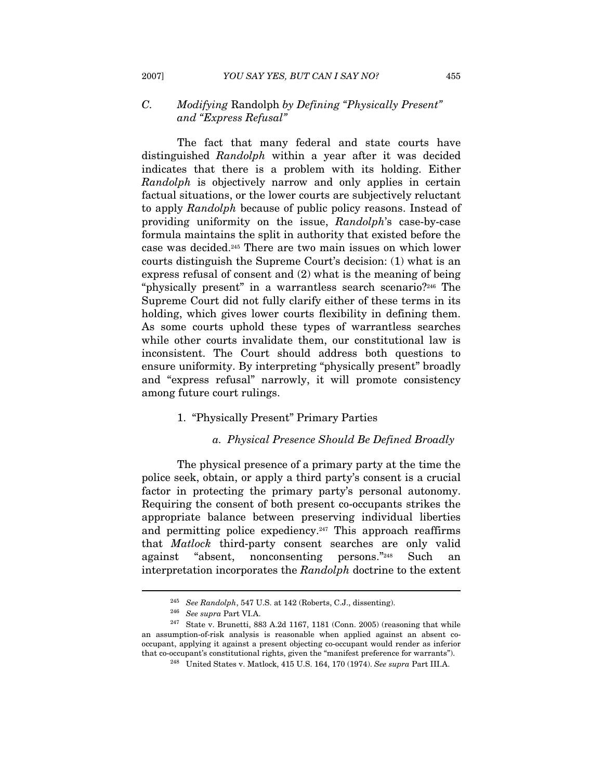# C. Modifying Randolph by Defining "Physically Present" and "Express Refusal"

The fact that many federal and state courts have distinguished Randolph within a year after it was decided indicates that there is a problem with its holding. Either Randolph is objectively narrow and only applies in certain factual situations, or the lower courts are subjectively reluctant to apply Randolph because of public policy reasons. Instead of providing uniformity on the issue, Randolph's case-by-case formula maintains the split in authority that existed before the case was decided.245 There are two main issues on which lower courts distinguish the Supreme Court's decision: (1) what is an express refusal of consent and (2) what is the meaning of being "physically present" in a warrantless search scenario?246 The Supreme Court did not fully clarify either of these terms in its holding, which gives lower courts flexibility in defining them. As some courts uphold these types of warrantless searches while other courts invalidate them, our constitutional law is inconsistent. The Court should address both questions to ensure uniformity. By interpreting "physically present" broadly and "express refusal" narrowly, it will promote consistency among future court rulings.

# 1. "Physically Present" Primary Parties

#### a. Physical Presence Should Be Defined Broadly

The physical presence of a primary party at the time the police seek, obtain, or apply a third party's consent is a crucial factor in protecting the primary party's personal autonomy. Requiring the consent of both present co-occupants strikes the appropriate balance between preserving individual liberties and permitting police expediency.<sup>247</sup> This approach reaffirms that Matlock third-party consent searches are only valid against "absent, nonconsenting persons."248 Such an interpretation incorporates the Randolph doctrine to the extent

<sup>&</sup>lt;sup>245</sup> See Randolph, 547 U.S. at 142 (Roberts, C.J., dissenting).<br><sup>246</sup> See supra Part VI.A.<br><sup>247</sup> State v. Brunetti, 883 A.2d 1167, 1181 (Conn. 2005) (reasoning that while an assumption-of-risk analysis is reasonable when applied against an absent cooccupant, applying it against a present objecting co-occupant would render as inferior

 $^{248}\;$ United States v. Matlock, 415 U.S. 164, 170 (1974). See supra Part III.A.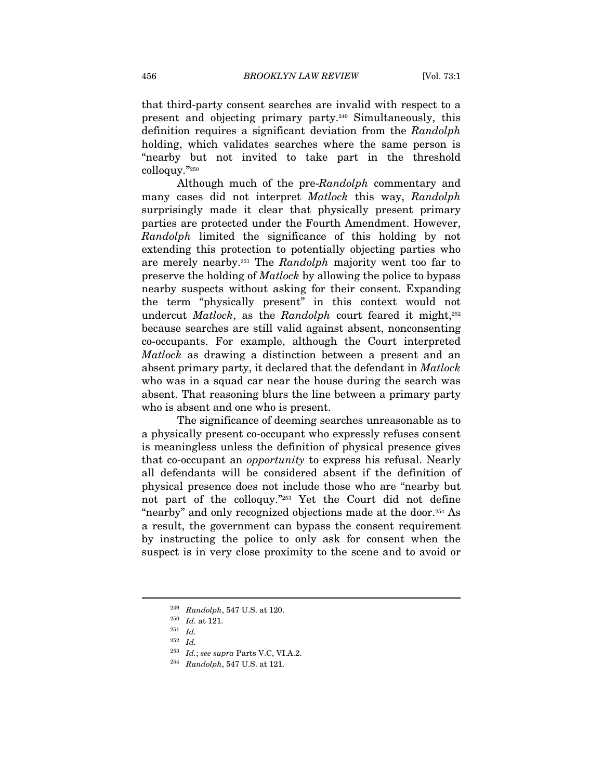that third-party consent searches are invalid with respect to a present and objecting primary party.249 Simultaneously, this definition requires a significant deviation from the Randolph holding, which validates searches where the same person is "nearby but not invited to take part in the threshold colloquy."250

Although much of the pre-Randolph commentary and many cases did not interpret Matlock this way, Randolph surprisingly made it clear that physically present primary parties are protected under the Fourth Amendment. However, Randolph limited the significance of this holding by not extending this protection to potentially objecting parties who are merely nearby.251 The Randolph majority went too far to preserve the holding of Matlock by allowing the police to bypass nearby suspects without asking for their consent. Expanding the term "physically present" in this context would not undercut *Matlock*, as the *Randolph* court feared it might, $252$ because searches are still valid against absent, nonconsenting co-occupants. For example, although the Court interpreted Matlock as drawing a distinction between a present and an absent primary party, it declared that the defendant in Matlock who was in a squad car near the house during the search was absent. That reasoning blurs the line between a primary party who is absent and one who is present.

The significance of deeming searches unreasonable as to a physically present co-occupant who expressly refuses consent is meaningless unless the definition of physical presence gives that co-occupant an opportunity to express his refusal. Nearly all defendants will be considered absent if the definition of physical presence does not include those who are "nearby but not part of the colloquy."253 Yet the Court did not define "nearby" and only recognized objections made at the door.254 As a result, the government can bypass the consent requirement by instructing the police to only ask for consent when the suspect is in very close proximity to the scene and to avoid or

 $\begin{array}{ll} \text{{\it 249}} & \text{{\it Random}} \\ \text{{\it 250}} & \text{{\it Id. at 121}}. \\ \text{{\it 251}} & \text{{\it Id}} \\ \text{{\it 27}} & \text{{\it 261}} \end{array}$ 

<sup>252</sup> Id.

<sup>&</sup>lt;sup>253</sup> Id.; see supra Parts V.C, VI.A.2.<br><sup>254</sup> Randolph, 547 U.S. at 121.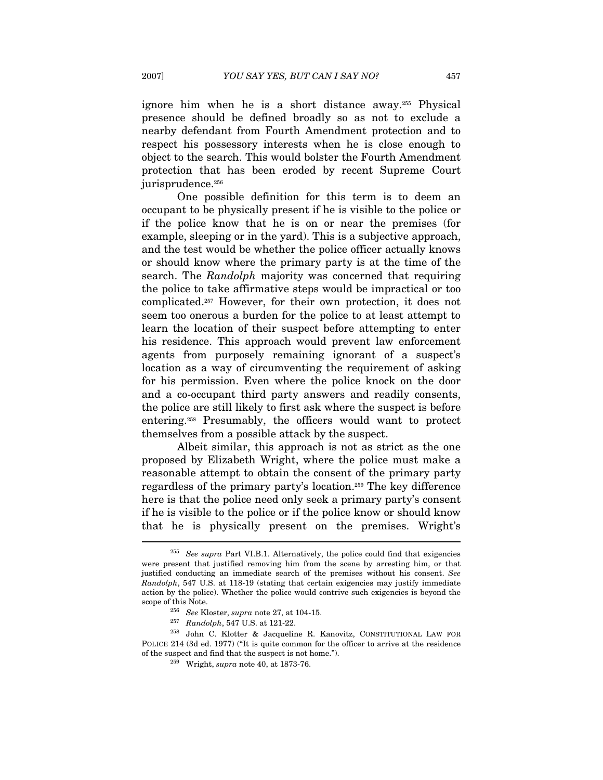ignore him when he is a short distance away.255 Physical presence should be defined broadly so as not to exclude a nearby defendant from Fourth Amendment protection and to respect his possessory interests when he is close enough to object to the search. This would bolster the Fourth Amendment protection that has been eroded by recent Supreme Court jurisprudence.<sup>256</sup>

One possible definition for this term is to deem an occupant to be physically present if he is visible to the police or if the police know that he is on or near the premises (for example, sleeping or in the yard). This is a subjective approach, and the test would be whether the police officer actually knows or should know where the primary party is at the time of the search. The Randolph majority was concerned that requiring the police to take affirmative steps would be impractical or too complicated.257 However, for their own protection, it does not seem too onerous a burden for the police to at least attempt to learn the location of their suspect before attempting to enter his residence. This approach would prevent law enforcement agents from purposely remaining ignorant of a suspect's location as a way of circumventing the requirement of asking for his permission. Even where the police knock on the door and a co-occupant third party answers and readily consents, the police are still likely to first ask where the suspect is before entering.258 Presumably, the officers would want to protect themselves from a possible attack by the suspect.

Albeit similar, this approach is not as strict as the one proposed by Elizabeth Wright, where the police must make a reasonable attempt to obtain the consent of the primary party regardless of the primary party's location.259 The key difference here is that the police need only seek a primary party's consent if he is visible to the police or if the police know or should know that he is physically present on the premises. Wright's  $\overline{a}$ 

 $255$  See supra Part VI.B.1. Alternatively, the police could find that exigencies were present that justified removing him from the scene by arresting him, or that justified conducting an immediate search of the premises without his consent. See Randolph, 547 U.S. at 118-19 (stating that certain exigencies may justify immediate action by the police). Whether the police would contrive such exigencies is beyond the scope of this Note.<br>
<sup>256</sup> See Kloster, *supra* note 27, at 104-15.<br>
<sup>257</sup> Randolph, 547 U.S. at 121-22.

<sup>&</sup>lt;sup>258</sup> John C. Klotter & Jacqueline R. Kanovitz, CONSTITUTIONAL LAW FOR POLICE 214 (3d ed. 1977) ("It is quite common for the officer to arrive at the residence % of the suspect and find that the suspect is not home."). 259 Wright, supra note 40, at 1873-76.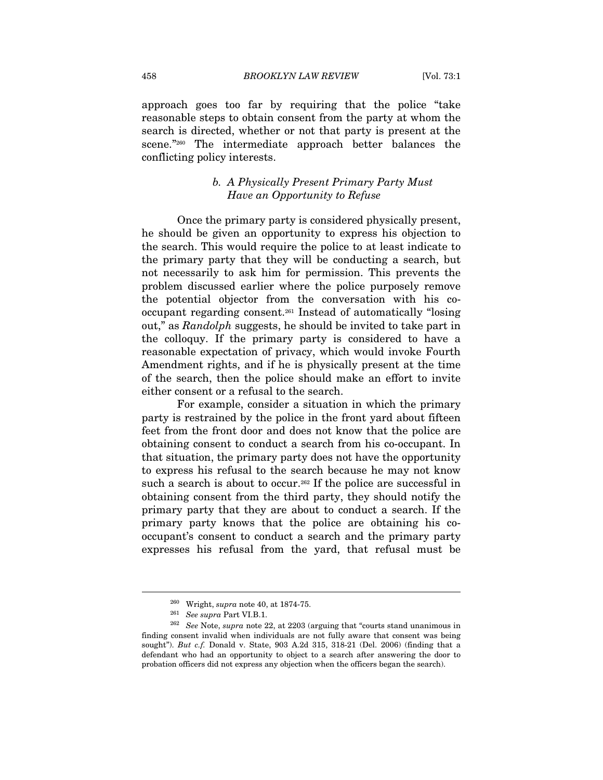approach goes too far by requiring that the police "take reasonable steps to obtain consent from the party at whom the search is directed, whether or not that party is present at the scene."<sup>260</sup> The intermediate approach better balances the conflicting policy interests.

# b. A Physically Present Primary Party Must Have an Opportunity to Refuse

Once the primary party is considered physically present, he should be given an opportunity to express his objection to the search. This would require the police to at least indicate to the primary party that they will be conducting a search, but not necessarily to ask him for permission. This prevents the problem discussed earlier where the police purposely remove the potential objector from the conversation with his cooccupant regarding consent.261 Instead of automatically "losing out," as Randolph suggests, he should be invited to take part in the colloquy. If the primary party is considered to have a reasonable expectation of privacy, which would invoke Fourth Amendment rights, and if he is physically present at the time of the search, then the police should make an effort to invite either consent or a refusal to the search.

For example, consider a situation in which the primary party is restrained by the police in the front yard about fifteen feet from the front door and does not know that the police are obtaining consent to conduct a search from his co-occupant. In that situation, the primary party does not have the opportunity to express his refusal to the search because he may not know such a search is about to occur.<sup>262</sup> If the police are successful in obtaining consent from the third party, they should notify the primary party that they are about to conduct a search. If the primary party knows that the police are obtaining his cooccupant's consent to conduct a search and the primary party expresses his refusal from the yard, that refusal must be

<sup>&</sup>lt;sup>260</sup> Wright, supra note 40, at 1874-75.<br><sup>261</sup> See supra Part VI.B.1.<br><sup>262</sup> See Note, supra note 22, at 2203 (arguing that "courts stand unanimous in finding consent invalid when individuals are not fully aware that consent was being sought"). But c.f. Donald v. State, 903 A.2d 315, 318-21 (Del. 2006) (finding that a defendant who had an opportunity to object to a search after answering the door to probation officers did not express any objection when the officers began the search).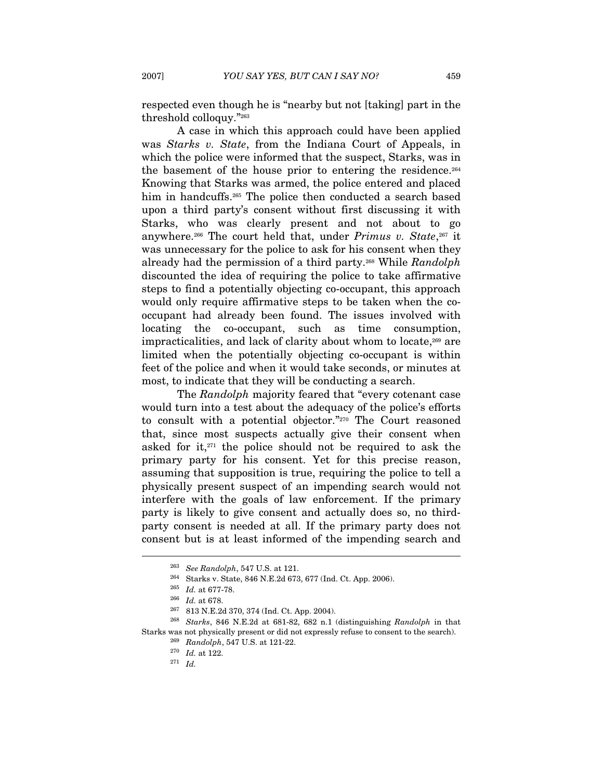respected even though he is "nearby but not [taking] part in the threshold colloquy."263

A case in which this approach could have been applied was Starks v. State, from the Indiana Court of Appeals, in which the police were informed that the suspect, Starks, was in the basement of the house prior to entering the residence.<sup>264</sup> Knowing that Starks was armed, the police entered and placed him in handcuffs.<sup>265</sup> The police then conducted a search based upon a third party's consent without first discussing it with Starks, who was clearly present and not about to go anywhere.<sup>266</sup> The court held that, under *Primus v. State*,  $267$  it was unnecessary for the police to ask for his consent when they already had the permission of a third party.<sup>268</sup> While Randolph discounted the idea of requiring the police to take affirmative steps to find a potentially objecting co-occupant, this approach would only require affirmative steps to be taken when the cooccupant had already been found. The issues involved with locating the co-occupant, such as time consumption, impracticalities, and lack of clarity about whom to locate,<sup>269</sup> are limited when the potentially objecting co-occupant is within feet of the police and when it would take seconds, or minutes at most, to indicate that they will be conducting a search.

The Randolph majority feared that "every cotenant case" would turn into a test about the adequacy of the police's efforts to consult with a potential objector."270 The Court reasoned that, since most suspects actually give their consent when asked for it, $271$  the police should not be required to ask the primary party for his consent. Yet for this precise reason, assuming that supposition is true, requiring the police to tell a physically present suspect of an impending search would not interfere with the goals of law enforcement. If the primary party is likely to give consent and actually does so, no thirdparty consent is needed at all. If the primary party does not consent but is at least informed of the impending search and

<sup>&</sup>lt;sup>263</sup> See Randolph, 547 U.S. at 121.<br><sup>264</sup> Starks v. State, 846 N.E.2d 673, 677 (Ind. Ct. App. 2006).<br><sup>265</sup> Id. at 677-78.<br><sup>266</sup> Id. at 678.<br><sup>267</sup> 813 N.E.2d 370, 374 (Ind. Ct. App. 2004).<br><sup>267</sup> 813 N.E.2d 370, 374 (Ind. Starks was not physically present or did not expressly refuse to consent to the search).<br><sup>269</sup> Randolph, 547 U.S. at 121-22.<br><sup>270</sup> Id. at 122.<br><sup>271</sup> Id.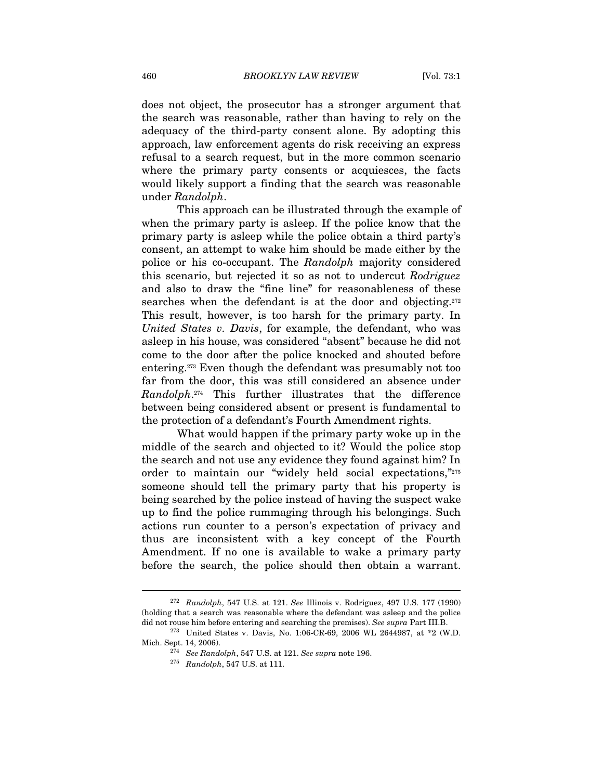does not object, the prosecutor has a stronger argument that the search was reasonable, rather than having to rely on the adequacy of the third-party consent alone. By adopting this approach, law enforcement agents do risk receiving an express refusal to a search request, but in the more common scenario where the primary party consents or acquiesces, the facts would likely support a finding that the search was reasonable under Randolph.

This approach can be illustrated through the example of when the primary party is asleep. If the police know that the primary party is asleep while the police obtain a third party's consent, an attempt to wake him should be made either by the police or his co-occupant. The Randolph majority considered this scenario, but rejected it so as not to undercut Rodriguez and also to draw the "fine line" for reasonableness of these searches when the defendant is at the door and objecting.<sup>272</sup> This result, however, is too harsh for the primary party. In United States v. Davis, for example, the defendant, who was asleep in his house, was considered "absent" because he did not come to the door after the police knocked and shouted before entering.273 Even though the defendant was presumably not too far from the door, this was still considered an absence under Randolph.274 This further illustrates that the difference between being considered absent or present is fundamental to the protection of a defendant's Fourth Amendment rights.

What would happen if the primary party woke up in the middle of the search and objected to it? Would the police stop the search and not use any evidence they found against him? In order to maintain our "widely held social expectations,"275 someone should tell the primary party that his property is being searched by the police instead of having the suspect wake up to find the police rummaging through his belongings. Such actions run counter to a person's expectation of privacy and thus are inconsistent with a key concept of the Fourth Amendment. If no one is available to wake a primary party before the search, the police should then obtain a warrant.

 $272$  Randolph, 547 U.S. at 121. See Illinois v. Rodriguez, 497 U.S. 177 (1990) (holding that a search was reasonable where the defendant was asleep and the police

did not rouse him before entering and searching the premises). See supra Part III.B. <sup>273</sup> United States v. Davis, No. 1:06-CR-69, 2006 WL 2644987, at \*2 (W.D. Mich. Sept. 14, 2006). 274 See Randolph, 547 U.S. at 121. See supra note 196. 275 Randolph, 547 U.S. at 111.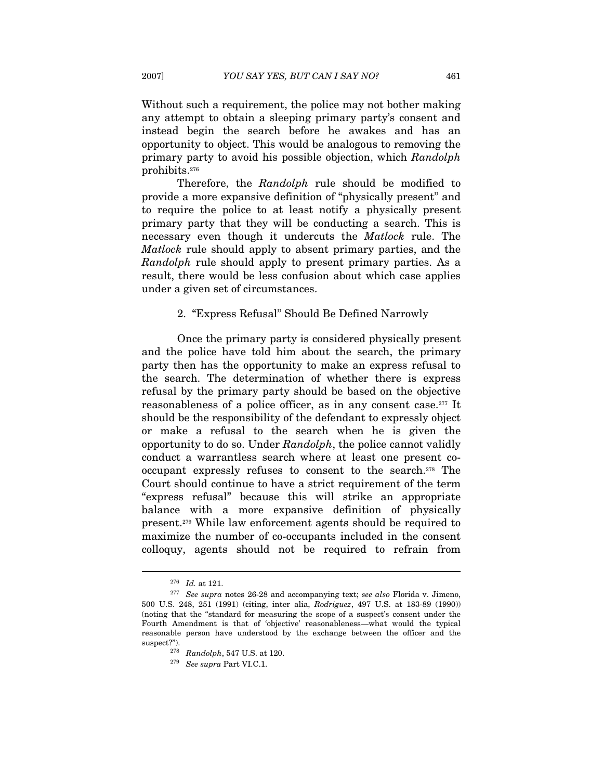Without such a requirement, the police may not bother making any attempt to obtain a sleeping primary party's consent and instead begin the search before he awakes and has an opportunity to object. This would be analogous to removing the primary party to avoid his possible objection, which Randolph prohibits.276

Therefore, the Randolph rule should be modified to provide a more expansive definition of "physically present" and to require the police to at least notify a physically present primary party that they will be conducting a search. This is necessary even though it undercuts the Matlock rule. The Matlock rule should apply to absent primary parties, and the Randolph rule should apply to present primary parties. As a result, there would be less confusion about which case applies under a given set of circumstances.

# 2. "Express Refusal" Should Be Defined Narrowly

Once the primary party is considered physically present and the police have told him about the search, the primary party then has the opportunity to make an express refusal to the search. The determination of whether there is express refusal by the primary party should be based on the objective reasonableness of a police officer, as in any consent case.277 It should be the responsibility of the defendant to expressly object or make a refusal to the search when he is given the opportunity to do so. Under Randolph, the police cannot validly conduct a warrantless search where at least one present cooccupant expressly refuses to consent to the search.278 The Court should continue to have a strict requirement of the term "express refusal" because this will strike an appropriate balance with a more expansive definition of physically present.279 While law enforcement agents should be required to maximize the number of co-occupants included in the consent colloquy, agents should not be required to refrain from

 $^{276}\,$  Id. at 121. 277 See supra notes 26-28 and accompanying text; see also Florida v. Jimeno, 500 U.S. 248, 251 (1991) (citing, inter alia, Rodriguez, 497 U.S. at 183-89 (1990)) (noting that the "standard for measuring the scope of a suspect's consent under the Fourth Amendment is that of 'objective' reasonableness—what would the typical reasonable person have understood by the exchange between the officer and the suspect?").<br> $\frac{278}{278}$  Randolph, 547 U.S. at 120.<br> $\frac{279}{279}$  See supra Part VI.C.1.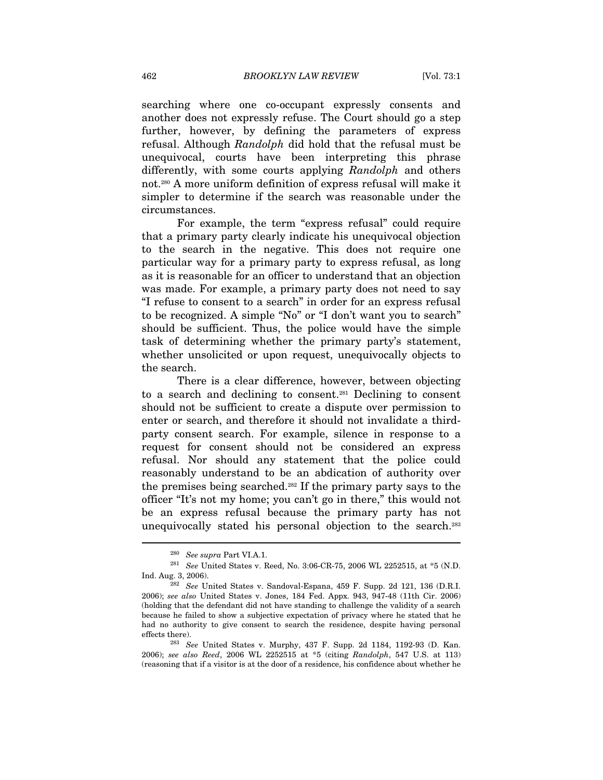searching where one co-occupant expressly consents and another does not expressly refuse. The Court should go a step further, however, by defining the parameters of express refusal. Although Randolph did hold that the refusal must be unequivocal, courts have been interpreting this phrase differently, with some courts applying Randolph and others not.280 A more uniform definition of express refusal will make it simpler to determine if the search was reasonable under the circumstances.

For example, the term "express refusal" could require that a primary party clearly indicate his unequivocal objection to the search in the negative. This does not require one particular way for a primary party to express refusal, as long as it is reasonable for an officer to understand that an objection was made. For example, a primary party does not need to say "I refuse to consent to a search" in order for an express refusal to be recognized. A simple "No" or "I don't want you to search" should be sufficient. Thus, the police would have the simple task of determining whether the primary party's statement, whether unsolicited or upon request, unequivocally objects to the search.

There is a clear difference, however, between objecting to a search and declining to consent.281 Declining to consent should not be sufficient to create a dispute over permission to enter or search, and therefore it should not invalidate a thirdparty consent search. For example, silence in response to a request for consent should not be considered an express refusal. Nor should any statement that the police could reasonably understand to be an abdication of authority over the premises being searched.282 If the primary party says to the officer "It's not my home; you can't go in there," this would not be an express refusal because the primary party has not unequivocally stated his personal objection to the search.<sup>283</sup>

<sup>280</sup> See supra Part VI.A.1.

 $^{281}$   $\,$   $\,$  See United States v. Reed, No. 3:06-CR-75, 2006 WL 2252515, at \*5 (N.D. Ind. Aug. 3, 2006).

 $282$  See United States v. Sandoval-Espana, 459 F. Supp. 2d 121, 136 (D.R.I. 2006); see also United States v. Jones, 184 Fed. Appx. 943, 947-48 (11th Cir. 2006) (holding that the defendant did not have standing to challenge the validity of a search because he failed to show a subjective expectation of privacy where he stated that he had no authority to give consent to search the residence, despite having personal effects there). <sup>283</sup> See United States v. Murphy, 437 F. Supp. 2d 1184, 1192-93 (D. Kan.

<sup>2006);</sup> see also Reed, 2006 WL 2252515 at \*5 (citing Randolph, 547 U.S. at 113) (reasoning that if a visitor is at the door of a residence, his confidence about whether he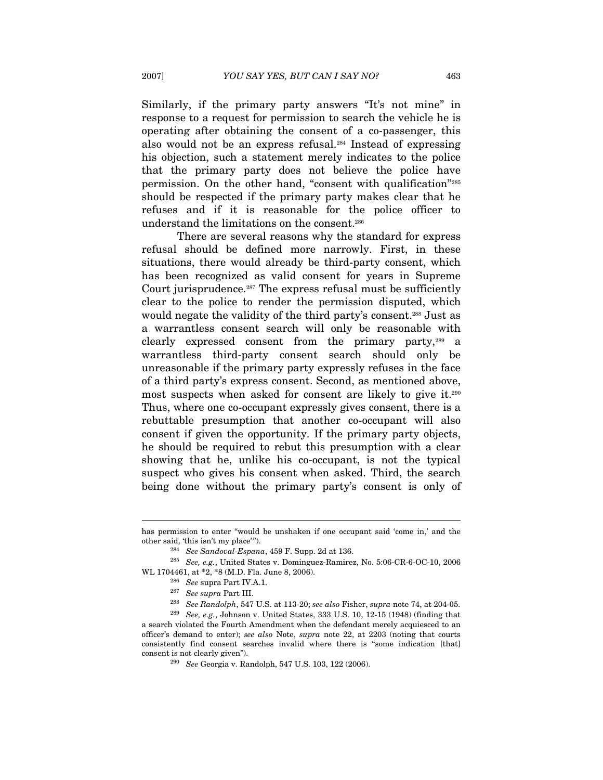Similarly, if the primary party answers "It's not mine" in response to a request for permission to search the vehicle he is operating after obtaining the consent of a co-passenger, this also would not be an express refusal.284 Instead of expressing his objection, such a statement merely indicates to the police that the primary party does not believe the police have permission. On the other hand, "consent with qualification"285 should be respected if the primary party makes clear that he refuses and if it is reasonable for the police officer to understand the limitations on the consent.286

There are several reasons why the standard for express refusal should be defined more narrowly. First, in these situations, there would already be third-party consent, which has been recognized as valid consent for years in Supreme Court jurisprudence.<sup>287</sup> The express refusal must be sufficiently clear to the police to render the permission disputed, which would negate the validity of the third party's consent.<sup>288</sup> Just as a warrantless consent search will only be reasonable with clearly expressed consent from the primary party,289 a warrantless third-party consent search should only be unreasonable if the primary party expressly refuses in the face of a third party's express consent. Second, as mentioned above, most suspects when asked for consent are likely to give it.290 Thus, where one co-occupant expressly gives consent, there is a rebuttable presumption that another co-occupant will also consent if given the opportunity. If the primary party objects, he should be required to rebut this presumption with a clear showing that he, unlike his co-occupant, is not the typical suspect who gives his consent when asked. Third, the search being done without the primary party's consent is only of

has permission to enter "would be unshaken if one occupant said 'come in,' and the other said, 'this isn't my place'").<br>
<sup>284</sup> See Sandoval-Espana, 459 F. Supp. 2d at 136.

<sup>285</sup> See, e.g., United States v. Dominguez-Ramirez, No. 5:06-CR-6-OC-10, 2006 WL 1704461, at \*2, \*8 (M.D. Fla. June 8, 2006).<br><sup>286</sup> See supra Part IV.A.1.<br><sup>287</sup> See supra Part III.<br><sup>287</sup> See Randolph, 547 U.S. at 113-20; see also Fisher, supra note 74, at 204-05.<br><sup>289</sup> See, e.g., Johnson v. United S

a search violated the Fourth Amendment when the defendant merely acquiesced to an officer's demand to enter); see also Note, supra note 22, at 2203 (noting that courts consistently find consent searches invalid where there is "some indication [that] consent is not clearly given").<br><sup>290</sup> See Georgia v. Randolph, 547 U.S. 103, 122 (2006).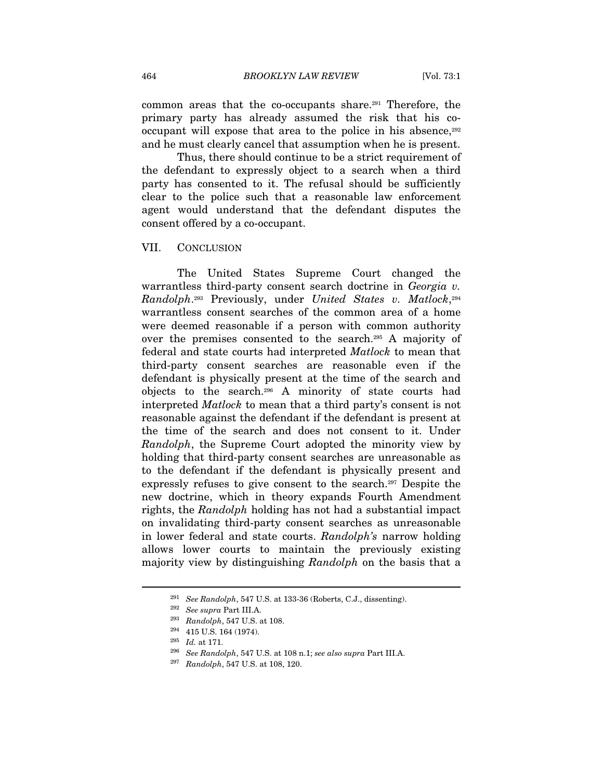common areas that the co-occupants share.291 Therefore, the primary party has already assumed the risk that his cooccupant will expose that area to the police in his absence,  $292$ and he must clearly cancel that assumption when he is present.

Thus, there should continue to be a strict requirement of the defendant to expressly object to a search when a third party has consented to it. The refusal should be sufficiently clear to the police such that a reasonable law enforcement agent would understand that the defendant disputes the consent offered by a co-occupant.

#### VII. CONCLUSION

The United States Supreme Court changed the warrantless third-party consent search doctrine in Georgia v. Randolph.293 Previously, under United States v. Matlock,294 warrantless consent searches of the common area of a home were deemed reasonable if a person with common authority over the premises consented to the search.295 A majority of federal and state courts had interpreted Matlock to mean that third-party consent searches are reasonable even if the defendant is physically present at the time of the search and objects to the search.296 A minority of state courts had interpreted Matlock to mean that a third party's consent is not reasonable against the defendant if the defendant is present at the time of the search and does not consent to it. Under Randolph, the Supreme Court adopted the minority view by holding that third-party consent searches are unreasonable as to the defendant if the defendant is physically present and expressly refuses to give consent to the search.297 Despite the new doctrine, which in theory expands Fourth Amendment rights, the Randolph holding has not had a substantial impact on invalidating third-party consent searches as unreasonable in lower federal and state courts. Randolph's narrow holding allows lower courts to maintain the previously existing majority view by distinguishing Randolph on the basis that a

<sup>&</sup>lt;sup>291</sup> See Randolph, 547 U.S. at 133-36 (Roberts, C.J., dissenting).<br><sup>292</sup> See supra Part III.A.<br><sup>293</sup> Randolph, 547 U.S. at 108.<br><sup>294</sup> 415 U.S. 164 (1974).

<sup>&</sup>lt;sup>295</sup> Id. at 171.<br><sup>296</sup> See Randolph, 547 U.S. at 108 n.1; see also supra Part III.A.<br><sup>297</sup> Randolph, 547 U.S. at 108, 120.